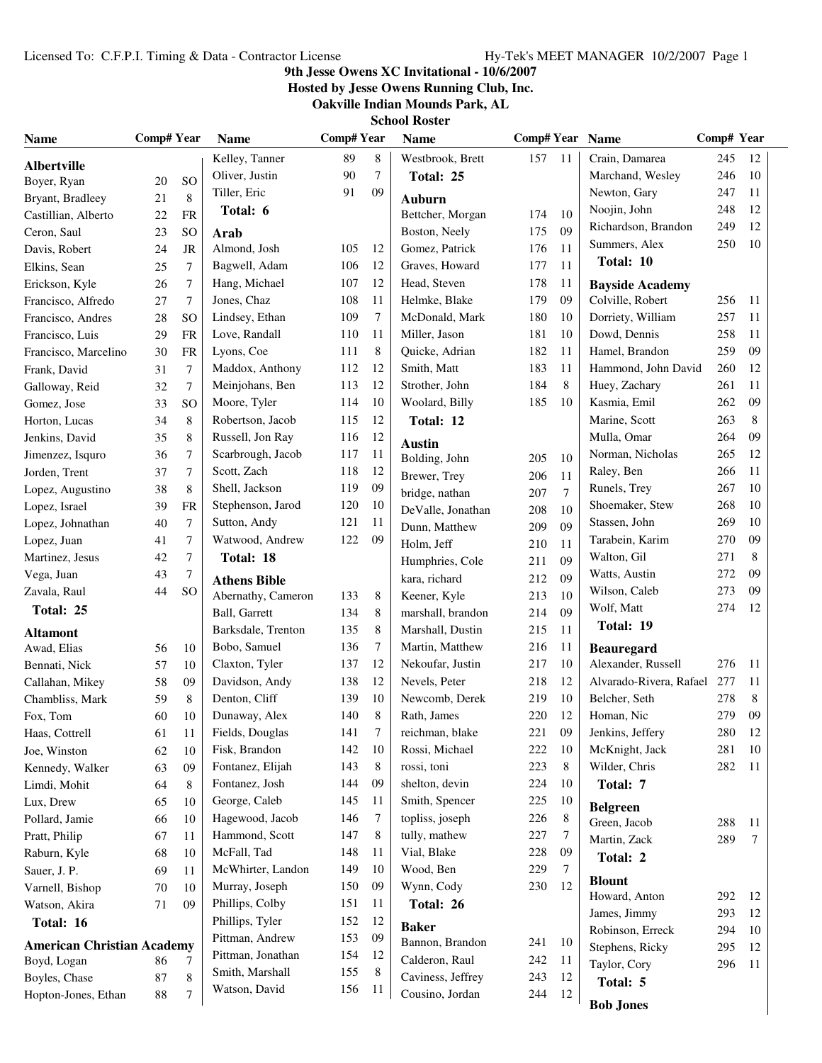### **9th Jesse Owens XC Invitational - 10/6/2007**

**Hosted by Jesse Owens Running Club, Inc.**

**Oakville Indian Mounds Park, AL**

| <b>Name</b>                       | Comp# Year |                  | <b>Name</b>                               | <b>Comp#Year</b> |    | <b>Name</b>                    | Comp# Year Name |                |                                     | Comp# Year |          |
|-----------------------------------|------------|------------------|-------------------------------------------|------------------|----|--------------------------------|-----------------|----------------|-------------------------------------|------------|----------|
| <b>Albertville</b>                |            |                  | Kelley, Tanner                            | 89               | 8  | Westbrook, Brett               | 157             | 11             | Crain, Damarea                      | 245        | 12       |
| Boyer, Ryan                       | 20         | SO               | Oliver, Justin                            | 90               | 7  | Total: 25                      |                 |                | Marchand, Wesley                    | 246        | 10       |
| Bryant, Bradleey                  | 21         | 8                | Tiller, Eric                              | 91               | 09 | <b>Auburn</b>                  |                 |                | Newton, Gary                        | 247        | 11       |
| Castillian, Alberto               | 22         | <b>FR</b>        | Total: 6                                  |                  |    | Bettcher, Morgan               | 174             | 10             | Noojin, John                        | 248        | 12       |
| Ceron, Saul                       | 23         | <sub>SO</sub>    | Arab                                      |                  |    | Boston, Neely                  | 175             | 09             | Richardson, Brandon                 | 249        | 12       |
| Davis, Robert                     | 24         | JR               | Almond, Josh                              | 105              | 12 | Gomez, Patrick                 | 176             | 11             | Summers, Alex                       | 250        | 10       |
| Elkins, Sean                      | 25         | $\tau$           | Bagwell, Adam                             | 106              | 12 | Graves, Howard                 | 177             | 11             | Total: 10                           |            |          |
| Erickson, Kyle                    | 26         | $\overline{7}$   | Hang, Michael                             | 107              | 12 | Head, Steven                   | 178             | 11             | <b>Bayside Academy</b>              |            |          |
| Francisco, Alfredo                | 27         | $\overline{7}$   | Jones, Chaz                               | 108              | 11 | Helmke, Blake                  | 179             | 09             | Colville, Robert                    | 256        | - 11     |
| Francisco, Andres                 | 28         | SO               | Lindsey, Ethan                            | 109              | 7  | McDonald, Mark                 | 180             | 10             | Dorriety, William                   | 257        | 11       |
| Francisco, Luis                   | 29         | <b>FR</b>        | Love, Randall                             | 110              | 11 | Miller, Jason                  | 181             | 10             | Dowd, Dennis                        | 258        | 11       |
| Francisco, Marcelino              | 30         | <b>FR</b>        | Lyons, Coe                                | 111              | 8  | Quicke, Adrian                 | 182             | 11             | Hamel, Brandon                      | 259        | 09       |
| Frank, David                      | 31         | $\boldsymbol{7}$ | Maddox, Anthony                           | 112              | 12 | Smith, Matt                    | 183             | 11             | Hammond, John David                 | 260        | 12       |
| Galloway, Reid                    | 32         | $\tau$           | Meinjohans, Ben                           | 113              | 12 | Strother, John                 | 184             | 8              | Huey, Zachary                       | 261        | 11       |
| Gomez, Jose                       | 33         | SO               | Moore, Tyler                              | 114              | 10 | Woolard, Billy                 | 185             | 10             | Kasmia, Emil                        | 262        | 09       |
| Horton, Lucas                     | 34         | $\,8\,$          | Robertson, Jacob                          | 115              | 12 | Total: 12                      |                 |                | Marine, Scott                       | 263        | 8        |
| Jenkins, David                    | 35         | 8                | Russell, Jon Ray                          | 116              | 12 |                                |                 |                | Mulla, Omar                         | 264        | 09       |
| Jimenzez, Isquro                  | 36         | $\overline{7}$   | Scarbrough, Jacob                         | 117              | 11 | <b>Austin</b><br>Bolding, John | 205             | 10             | Norman, Nicholas                    | 265        | 12       |
| Jorden, Trent                     | 37         | 7                | Scott, Zach                               | 118              | 12 | Brewer, Trey                   | 206             | 11             | Raley, Ben                          | 266        | 11       |
| Lopez, Augustino                  | 38         | 8                | Shell, Jackson                            | 119              | 09 | bridge, nathan                 | 207             | $\overline{7}$ | Runels, Trey                        | 267        | 10       |
| Lopez, Israel                     | 39         | <b>FR</b>        | Stephenson, Jarod                         | 120              | 10 | DeValle, Jonathan              | 208             | 10             | Shoemaker, Stew                     | 268        | 10       |
| Lopez, Johnathan                  | 40         | $\overline{7}$   | Sutton, Andy                              | 121              | 11 | Dunn, Matthew                  | 209             | 09             | Stassen, John                       | 269        | 10       |
| Lopez, Juan                       | 41         | 7                | Watwood, Andrew                           | 122              | 09 | Holm, Jeff                     | 210             | 11             | Tarabein, Karim                     | 270        | 09       |
| Martinez, Jesus                   | 42         | $\tau$           | Total: 18                                 |                  |    | Humphries, Cole                | 211             | 09             | Walton, Gil                         | 271        | 8        |
| Vega, Juan                        | 43         | 7                |                                           |                  |    | kara, richard                  | 212             | 09             | Watts, Austin                       | 272        | 09       |
| Zavala, Raul                      | 44         | SO               | <b>Athens Bible</b><br>Abernathy, Cameron | 133              | 8  | Keener, Kyle                   | 213             | 10             | Wilson, Caleb                       | 273        | 09       |
| Total: 25                         |            |                  | Ball, Garrett                             | 134              | 8  | marshall, brandon              | 214             | 09             | Wolf, Matt                          | 274        | 12       |
|                                   |            |                  | Barksdale, Trenton                        | 135              | 8  | Marshall, Dustin               | 215             | 11             | Total: 19                           |            |          |
| <b>Altamont</b><br>Awad, Elias    | 56         | 10               | Bobo, Samuel                              | 136              | 7  | Martin, Matthew                | 216             | 11             | <b>Beauregard</b>                   |            |          |
| Bennati, Nick                     | 57         | 10               | Claxton, Tyler                            | 137              | 12 | Nekoufar, Justin               | 217             | 10             | Alexander, Russell                  | 276        | -11      |
| Callahan, Mikey                   | 58         | 09               | Davidson, Andy                            | 138              | 12 | Nevels, Peter                  | 218             | 12             | Alvarado-Rivera, Rafael 277         |            | 11       |
| Chambliss, Mark                   | 59         | 8                | Denton, Cliff                             | 139              | 10 | Newcomb, Derek                 | 219             | 10             | Belcher, Seth                       | 278        | 8        |
| Fox, Tom                          | 60         | 10               | Dunaway, Alex                             | 140              | 8  | Rath, James                    | 220             | 12             | Homan, Nic                          | 279        | 09       |
| Haas, Cottrell                    | 61         | 11               | Fields, Douglas                           | 141              | 7  | reichman, blake                | 221             | 09             | Jenkins, Jeffery                    | 280        | 12       |
| Joe, Winston                      | 62         | 10               | Fisk, Brandon                             | 142              | 10 | Rossi, Michael                 | 222             | 10             | McKnight, Jack                      | 281        | 10       |
| Kennedy, Walker                   | 63         | 09               | Fontanez, Elijah                          | 143              | 8  | rossi, toni                    | 223             | 8              | Wilder, Chris                       | 282        | 11       |
| Limdi, Mohit                      | 64         | 8                | Fontanez, Josh                            | 144              | 09 | shelton, devin                 | 224             | 10             | Total: 7                            |            |          |
| Lux, Drew                         | 65         | 10               | George, Caleb                             | 145              | 11 | Smith, Spencer                 | 225             | 10             |                                     |            |          |
| Pollard, Jamie                    | 66         | 10               | Hagewood, Jacob                           | 146              | 7  | topliss, joseph                | 226             | 8              | <b>Belgreen</b><br>Green, Jacob     | 288        | 11       |
| Pratt, Philip                     | 67         | 11               | Hammond, Scott                            | 147              | 8  | tully, mathew                  | 227             | 7              | Martin, Zack                        | 289        | $\tau$   |
| Raburn, Kyle                      | 68         | 10               | McFall, Tad                               | 148              | 11 | Vial, Blake                    | 228             | 09             | Total: 2                            |            |          |
| Sauer, J. P.                      | 69         | 11               | McWhirter, Landon                         | 149              | 10 | Wood, Ben                      | 229             | 7              |                                     |            |          |
| Varnell, Bishop                   | 70         | 10               | Murray, Joseph                            | 150              | 09 | Wynn, Cody                     | 230             | 12             | <b>Blount</b>                       |            |          |
| Watson, Akira                     | 71         | 09               | Phillips, Colby                           | 151              | 11 | Total: 26                      |                 |                | Howard, Anton                       | 292        | 12       |
| Total: 16                         |            |                  | Phillips, Tyler                           | 152              | 12 | <b>Baker</b>                   |                 |                | James, Jimmy                        | 293        | 12       |
| <b>American Christian Academy</b> |            |                  | Pittman, Andrew                           | 153              | 09 | Bannon, Brandon                | 241             | 10             | Robinson, Erreck<br>Stephens, Ricky | 294<br>295 | 10<br>12 |
| Boyd, Logan                       | 86         | 7                | Pittman, Jonathan                         | 154              | 12 | Calderon, Raul                 | 242             | 11             | Taylor, Cory                        | 296        | 11       |
| Boyles, Chase                     | 87         | $\,8\,$          | Smith, Marshall                           | 155              | 8  | Caviness, Jeffrey              | 243             | 12             | Total: 5                            |            |          |
| Hopton-Jones, Ethan               | $88\,$     | 7                | Watson, David                             | 156              | 11 | Cousino, Jordan                | 244             | 12             |                                     |            |          |
|                                   |            |                  |                                           |                  |    |                                |                 |                | <b>Bob Jones</b>                    |            |          |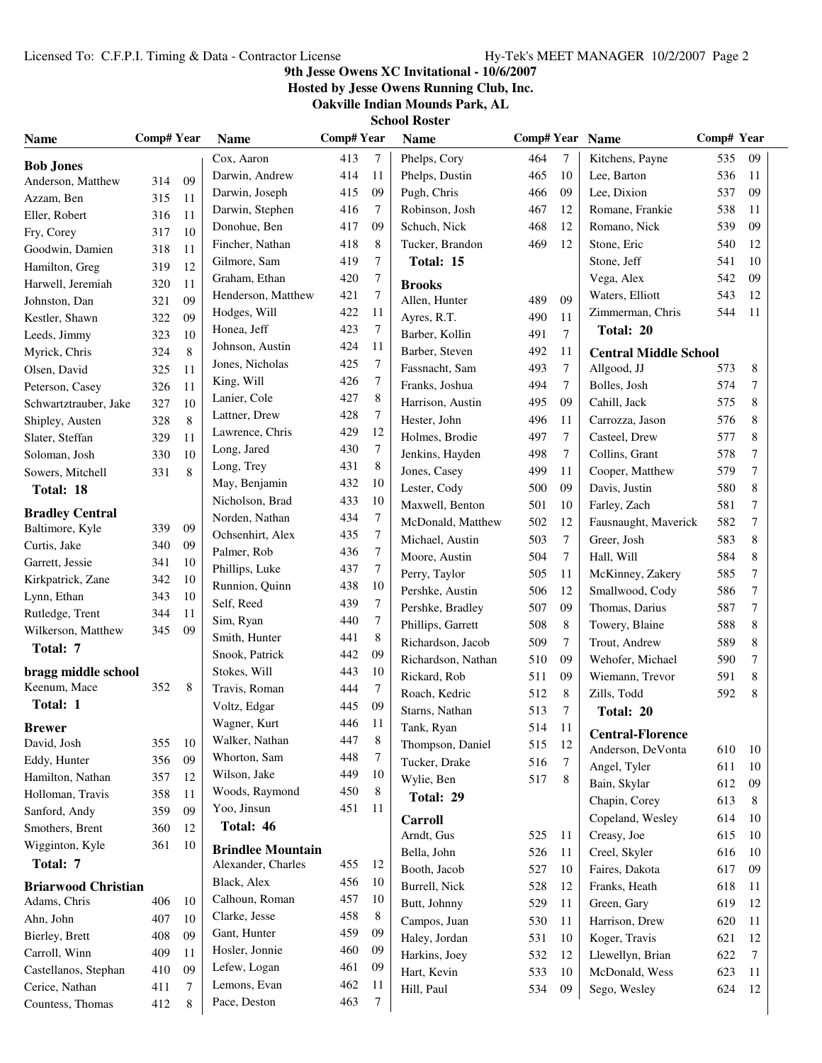### **9th Jesse Owens XC Invitational - 10/6/2007**

**Hosted by Jesse Owens Running Club, Inc.**

| <b>Name</b>                               | Comp# Year |    | <b>Name</b>              | <b>Comp#Year</b> |    | <b>Name</b>        | Comp# Year Name |        |                              | Comp# Year |    |  |
|-------------------------------------------|------------|----|--------------------------|------------------|----|--------------------|-----------------|--------|------------------------------|------------|----|--|
| <b>Bob Jones</b>                          |            |    | Cox, Aaron               | 413              | 7  | Phelps, Cory       | 464             | $\tau$ | Kitchens, Payne              | 535        | 09 |  |
| Anderson, Matthew                         | 314        | 09 | Darwin, Andrew           | 414              | 11 | Phelps, Dustin     | 465             | 10     | Lee, Barton                  | 536        | 11 |  |
| Azzam, Ben                                | 315        | 11 | Darwin, Joseph           | 415              | 09 | Pugh, Chris        | 466             | 09     | Lee, Dixion                  | 537        | 09 |  |
| Eller, Robert                             | 316        | 11 | Darwin, Stephen          | 416              | 7  | Robinson, Josh     | 467             | 12     | Romane, Frankie              | 538        | 11 |  |
| Fry, Corey                                | 317        | 10 | Donohue, Ben             | 417              | 09 | Schuch, Nick       | 468             | 12     | Romano, Nick                 | 539        | 09 |  |
| Goodwin, Damien                           | 318        | 11 | Fincher, Nathan          | 418              | 8  | Tucker, Brandon    | 469             | 12     | Stone, Eric                  | 540        | 12 |  |
| Hamilton, Greg                            | 319        | 12 | Gilmore, Sam             | 419              | 7  | Total: 15          |                 |        | Stone, Jeff                  | 541        | 10 |  |
| Harwell, Jeremiah                         | 320        | 11 | Graham, Ethan            | 420              | 7  | <b>Brooks</b>      |                 |        | Vega, Alex                   | 542        | 09 |  |
| Johnston, Dan                             | 321        | 09 | Henderson, Matthew       | 421              | 7  | Allen, Hunter      | 489             | 09     | Waters, Elliott              | 543        | 12 |  |
| Kestler, Shawn                            | 322        | 09 | Hodges, Will             | 422              | 11 | Ayres, R.T.        | 490             | 11     | Zimmerman, Chris             | 544        | 11 |  |
| Leeds, Jimmy                              | 323        | 10 | Honea, Jeff              | 423              | 7  | Barber, Kollin     | 491             | $\tau$ | Total: 20                    |            |    |  |
| Myrick, Chris                             | 324        | 8  | Johnson, Austin          | 424              | 11 | Barber, Steven     | 492             | 11     | <b>Central Middle School</b> |            |    |  |
| Olsen, David                              | 325        | 11 | Jones, Nicholas          | 425              | 7  | Fassnacht, Sam     | 493             | 7      | Allgood, JJ                  | 573        | 8  |  |
| Peterson, Casey                           | 326        | 11 | King, Will               | 426              | 7  | Franks, Joshua     | 494             | 7      | Bolles, Josh                 | 574        | 7  |  |
| Schwartztrauber, Jake                     | 327        | 10 | Lanier, Cole             | 427              | 8  | Harrison, Austin   | 495             | 09     | Cahill, Jack                 | 575        | 8  |  |
| Shipley, Austen                           | 328        | 8  | Lattner, Drew            | 428              | 7  | Hester, John       | 496             | 11     | Carrozza, Jason              | 576        | 8  |  |
| Slater, Steffan                           | 329        | 11 | Lawrence, Chris          | 429              | 12 | Holmes, Brodie     | 497             | 7      | Casteel, Drew                | 577        | 8  |  |
| Soloman, Josh                             | 330        | 10 | Long, Jared              | 430              | 7  | Jenkins, Hayden    | 498             | $\tau$ | Collins, Grant               | 578        | 7  |  |
| Sowers, Mitchell                          | 331        | 8  | Long, Trey               | 431              | 8  | Jones, Casey       | 499             | 11     | Cooper, Matthew              | 579        | 7  |  |
| Total: 18                                 |            |    | May, Benjamin            | 432              | 10 | Lester, Cody       | 500             | 09     | Davis, Justin                | 580        | 8  |  |
|                                           |            |    | Nicholson, Brad          | 433              | 10 | Maxwell, Benton    | 501             | 10     | Farley, Zach                 | 581        | 7  |  |
| <b>Bradley Central</b><br>Baltimore, Kyle | 339        | 09 | Norden, Nathan           | 434              | 7  | McDonald, Matthew  | 502             | 12     | Fausnaught, Maverick         | 582        | 7  |  |
| Curtis, Jake                              | 340        | 09 | Ochsenhirt, Alex         | 435              | 7  | Michael, Austin    | 503             | 7      | Greer, Josh                  | 583        | 8  |  |
| Garrett, Jessie                           | 341        | 10 | Palmer, Rob              | 436              | 7  | Moore, Austin      | 504             | 7      | Hall, Will                   | 584        | 8  |  |
| Kirkpatrick, Zane                         | 342        | 10 | Phillips, Luke           | 437              | 7  | Perry, Taylor      | 505             | 11     | McKinney, Zakery             | 585        | 7  |  |
| Lynn, Ethan                               | 343        | 10 | Runnion, Quinn           | 438              | 10 | Pershke, Austin    | 506             | 12     | Smallwood, Cody              | 586        | 7  |  |
| Rutledge, Trent                           | 344        | 11 | Self, Reed               | 439              | 7  | Pershke, Bradley   | 507             | 09     | Thomas, Darius               | 587        | 7  |  |
| Wilkerson, Matthew                        | 345        | 09 | Sim, Ryan                | 440              | 7  | Phillips, Garrett  | 508             | 8      | Towery, Blaine               | 588        | 8  |  |
| Total: 7                                  |            |    | Smith, Hunter            | 441              | 8  | Richardson, Jacob  | 509             | 7      | Trout, Andrew                | 589        | 8  |  |
|                                           |            |    | Snook, Patrick           | 442              | 09 | Richardson, Nathan | 510             | 09     | Wehofer, Michael             | 590        | 7  |  |
| bragg middle school                       |            |    | Stokes, Will             | 443              | 10 | Rickard, Rob       | 511             | 09     | Wiemann, Trevor              | 591        | 8  |  |
| Keenum, Mace                              | 352        | 8  | Travis, Roman            | 444              | 7  | Roach, Kedric      | 512             | 8      | Zills, Todd                  | 592        | 8  |  |
| Total: 1                                  |            |    | Voltz, Edgar             | 445              | 09 | Starns, Nathan     | 513             | 7      | Total: 20                    |            |    |  |
| <b>Brewer</b>                             |            |    | Wagner, Kurt             | 446              | 11 | Tank, Ryan         | 514             | 11     | <b>Central-Florence</b>      |            |    |  |
| David, Josh                               | 355        | 10 | Walker, Nathan           | 447              | 8  | Thompson, Daniel   | 515             | 12     | Anderson, DeVonta            | 610        | 10 |  |
| Eddy, Hunter                              | 356        | 09 | Whorton, Sam             | 448              | 7  | Tucker, Drake      | 516             | 7      | Angel, Tyler                 | 611        | 10 |  |
| Hamilton, Nathan                          | 357        | 12 | Wilson, Jake             | 449              | 10 | Wylie, Ben         | 517             | 8      | Bain, Skylar                 | 612        | 09 |  |
| Holloman, Travis                          | 358        | 11 | Woods, Raymond           | 450              | 8  | Total: 29          |                 |        | Chapin, Corey                | 613        | 8  |  |
| Sanford, Andy                             | 359        | 09 | Yoo, Jinsun              | 451              | 11 | <b>Carroll</b>     |                 |        | Copeland, Wesley             | 614        | 10 |  |
| Smothers, Brent                           | 360        | 12 | Total: 46                |                  |    | Arndt, Gus         | 525             | 11     | Creasy, Joe                  | 615        | 10 |  |
| Wigginton, Kyle                           | 361        | 10 | <b>Brindlee Mountain</b> |                  |    | Bella, John        | 526             | 11     | Creel, Skyler                | 616        | 10 |  |
| Total: 7                                  |            |    | Alexander, Charles       | 455              | 12 | Booth, Jacob       | 527             | 10     | Faires, Dakota               | 617        | 09 |  |
| <b>Briarwood Christian</b>                |            |    | Black, Alex              | 456              | 10 | Burrell, Nick      | 528             | 12     | Franks, Heath                | 618        | 11 |  |
| Adams, Chris                              | 406        | 10 | Calhoun, Roman           | 457              | 10 | Butt, Johnny       | 529             | 11     | Green, Gary                  | 619        | 12 |  |
| Ahn, John                                 | 407        | 10 | Clarke, Jesse            | 458              | 8  | Campos, Juan       | 530             | 11     | Harrison, Drew               | 620        | 11 |  |
| Bierley, Brett                            | 408        | 09 | Gant, Hunter             | 459              | 09 | Haley, Jordan      | 531             | 10     | Koger, Travis                | 621        | 12 |  |
| Carroll, Winn                             | 409        | 11 | Hosler, Jonnie           | 460              | 09 | Harkins, Joey      | 532             | 12     | Llewellyn, Brian             | 622        | 7  |  |
| Castellanos, Stephan                      | 410        | 09 | Lefew, Logan             | 461              | 09 | Hart, Kevin        | 533             | 10     | McDonald, Wess               | 623        | 11 |  |
| Cerice, Nathan                            | 411        | 7  | Lemons, Evan             | 462              | 11 | Hill, Paul         | 534             | 09     | Sego, Wesley                 | 624        | 12 |  |
| Countess, Thomas                          | 412        | 8  | Pace, Deston             | 463              | 7  |                    |                 |        |                              |            |    |  |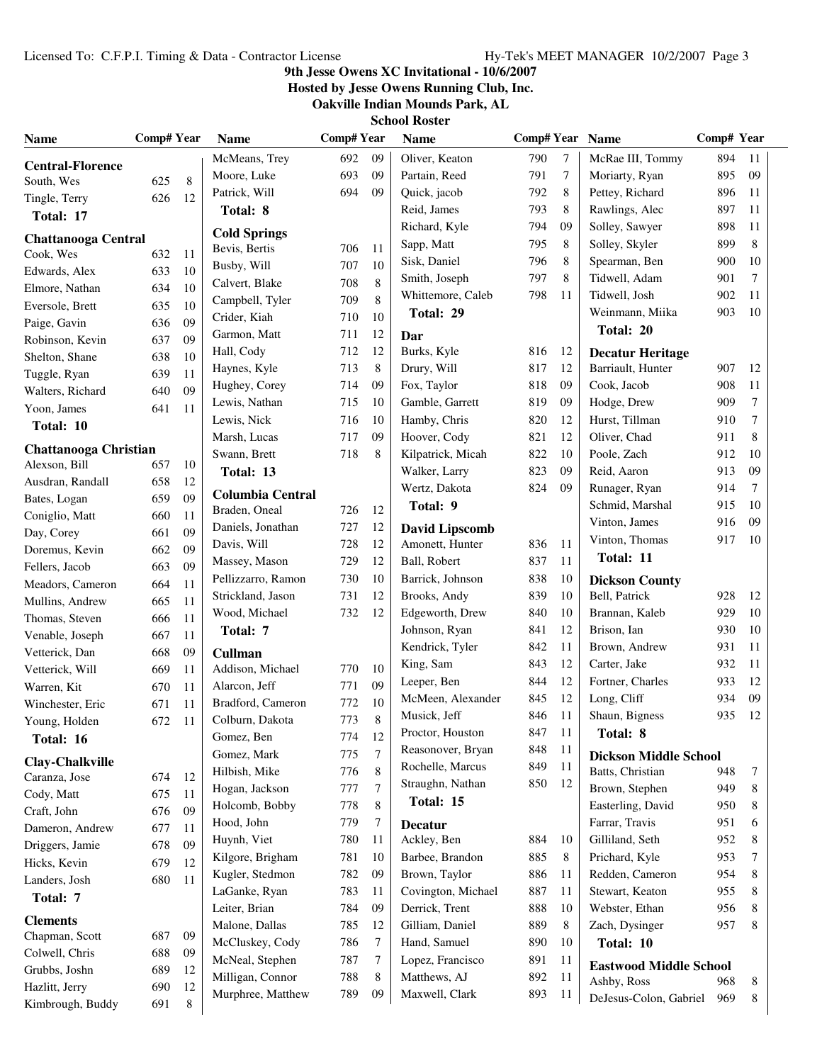### **9th Jesse Owens XC Invitational - 10/6/2007**

**Hosted by Jesse Owens Running Club, Inc.**

| School Roster |  |
|---------------|--|
|               |  |

| <b>Name</b>                             | Comp# Year |         | <b>Name</b>                              | <b>Comp#Year</b> |    | <b>Name</b>                              | Comp# Year Name |          |                                        | Comp# Year |          |
|-----------------------------------------|------------|---------|------------------------------------------|------------------|----|------------------------------------------|-----------------|----------|----------------------------------------|------------|----------|
| <b>Central-Florence</b>                 |            |         | McMeans, Trey                            | 692              | 09 | Oliver, Keaton                           | 790             | 7        | McRae III, Tommy                       | 894        | 11       |
| South, Wes                              | 625        | $\,8\,$ | Moore, Luke                              | 693              | 09 | Partain, Reed                            | 791             | 7        | Moriarty, Ryan                         | 895        | 09       |
| Tingle, Terry                           | 626        | 12      | Patrick, Will                            | 694              | 09 | Quick, jacob                             | 792             | 8        | Pettey, Richard                        | 896        | 11       |
| Total: 17                               |            |         | Total: 8                                 |                  |    | Reid, James                              | 793             | 8        | Rawlings, Alec                         | 897        | 11       |
|                                         |            |         | <b>Cold Springs</b>                      |                  |    | Richard, Kyle                            | 794             | 09       | Solley, Sawyer                         | 898        | 11       |
| <b>Chattanooga Central</b><br>Cook, Wes | 632        | 11      | Bevis, Bertis                            | 706              | 11 | Sapp, Matt                               | 795             | 8        | Solley, Skyler                         | 899        | 8        |
| Edwards, Alex                           | 633        | 10      | Busby, Will                              | 707              | 10 | Sisk, Daniel                             | 796             | 8        | Spearman, Ben                          | 900        | 10       |
| Elmore, Nathan                          | 634        | 10      | Calvert, Blake                           | 708              | 8  | Smith, Joseph                            | 797             | 8        | Tidwell, Adam                          | 901        | 7        |
| Eversole, Brett                         | 635        | 10      | Campbell, Tyler                          | 709              | 8  | Whittemore, Caleb                        | 798             | 11       | Tidwell, Josh                          | 902        | 11       |
| Paige, Gavin                            | 636        | 09      | Crider, Kiah                             | 710              | 10 | Total: 29                                |                 |          | Weinmann, Miika                        | 903        | 10       |
| Robinson, Kevin                         | 637        | 09      | Garmon, Matt                             | 711              | 12 | Dar                                      |                 |          | Total: 20                              |            |          |
| Shelton, Shane                          | 638        | 10      | Hall, Cody                               | 712              | 12 | Burks, Kyle                              | 816             | 12       | <b>Decatur Heritage</b>                |            |          |
| Tuggle, Ryan                            | 639        | 11      | Haynes, Kyle                             | 713              | 8  | Drury, Will                              | 817             | 12       | Barriault, Hunter                      | 907        | 12       |
| Walters, Richard                        | 640        | 09      | Hughey, Corey                            | 714              | 09 | Fox, Taylor                              | 818             | 09       | Cook, Jacob                            | 908        | 11       |
| Yoon, James                             | 641        | 11      | Lewis, Nathan                            | 715              | 10 | Gamble, Garrett                          | 819             | 09       | Hodge, Drew                            | 909        | 7        |
|                                         |            |         | Lewis, Nick                              | 716              | 10 | Hamby, Chris                             | 820             | 12       | Hurst, Tillman                         | 910        | $\tau$   |
| Total: 10                               |            |         | Marsh, Lucas                             | 717              | 09 | Hoover, Cody                             | 821             | 12       | Oliver, Chad                           | 911        | 8        |
| <b>Chattanooga Christian</b>            |            |         | Swann, Brett                             | 718              | 8  | Kilpatrick, Micah                        | 822             | 10       | Poole, Zach                            | 912        | 10       |
| Alexson, Bill                           | 657        | 10      | Total: 13                                |                  |    | Walker, Larry                            | 823             | 09       | Reid, Aaron                            | 913        | 09       |
| Ausdran, Randall                        | 658        | 12      |                                          |                  |    | Wertz, Dakota                            | 824             | 09       | Runager, Ryan                          | 914        | 7        |
| Bates, Logan                            | 659        | 09      | <b>Columbia Central</b><br>Braden, Oneal | 726              | 12 | Total: 9                                 |                 |          | Schmid, Marshal                        | 915        | 10       |
| Coniglio, Matt                          | 660        | 11      | Daniels, Jonathan                        | 727              | 12 |                                          |                 |          | Vinton, James                          | 916        | 09       |
| Day, Corey                              | 661        | 09      | Davis, Will                              | 728              | 12 | <b>David Lipscomb</b><br>Amonett, Hunter | 836             | 11       | Vinton, Thomas                         | 917        | 10       |
| Doremus, Kevin                          | 662        | 09      | Massey, Mason                            | 729              | 12 | Ball, Robert                             | 837             | 11       | Total: 11                              |            |          |
| Fellers, Jacob                          | 663        | 09      | Pellizzarro, Ramon                       | 730              | 10 | Barrick, Johnson                         | 838             | 10       |                                        |            |          |
| Meadors, Cameron                        | 664        | 11      | Strickland, Jason                        | 731              | 12 | Brooks, Andy                             | 839             | 10       | <b>Dickson County</b><br>Bell, Patrick | 928        | 12       |
| Mullins, Andrew                         | 665        | 11      |                                          | 732              | 12 | Edgeworth, Drew                          | 840             | 10       | Brannan, Kaleb                         | 929        | 10       |
| Thomas, Steven                          | 666        | 11      | Wood, Michael                            |                  |    |                                          |                 |          |                                        |            |          |
| Venable, Joseph                         | 667        | 11      | Total: 7                                 |                  |    | Johnson, Ryan                            | 841             | 12<br>11 | Brison, Ian                            | 930        | 10<br>11 |
| Vetterick, Dan                          | 668        | 09      | Cullman                                  |                  |    | Kendrick, Tyler                          | 842             | 12       | Brown, Andrew                          | 931        |          |
| Vetterick, Will                         | 669        | 11      | Addison, Michael                         | 770              | 10 | King, Sam                                | 843             |          | Carter, Jake                           | 932        | 11       |
| Warren, Kit                             | 670        | 11      | Alarcon, Jeff                            | 771              | 09 | Leeper, Ben                              | 844             | 12       | Fortner, Charles                       | 933        | 12       |
| Winchester, Eric                        | 671        | 11      | Bradford, Cameron                        | 772              | 10 | McMeen, Alexander                        | 845             | 12       | Long, Cliff                            | 934        | 09       |
| Young, Holden                           | 672        | 11      | Colburn, Dakota                          | 773              | 8  | Musick, Jeff<br>Proctor, Houston         | 846             | 11       | Shaun, Bigness                         | 935        | 12       |
| Total: 16                               |            |         | Gomez, Ben                               | 774              | 12 |                                          | 847             | 11       | Total: 8                               |            |          |
| Clay-Chalkville                         |            |         | Gomez, Mark                              | 775              | 7  | Reasonover, Bryan                        | 848             | 11       | <b>Dickson Middle School</b>           |            |          |
| Caranza, Jose                           | 674        | 12      | Hilbish, Mike                            | 776              | 8  | Rochelle, Marcus                         | 849             | 11       | Batts, Christian                       | 948        | 7        |
| Cody, Matt                              | 675        | 11      | Hogan, Jackson                           | 777              | 7  | Straughn, Nathan                         | 850             | 12       | Brown, Stephen                         | 949        | 8        |
| Craft, John                             | 676        | 09      | Holcomb, Bobby                           | 778              | 8  | Total: 15                                |                 |          | Easterling, David                      | 950        | 8        |
| Dameron, Andrew                         | 677        | 11      | Hood, John                               | 779              | 7  | <b>Decatur</b>                           |                 |          | Farrar, Travis                         | 951        | 6        |
| Driggers, Jamie                         | 678        | 09      | Huynh, Viet                              | 780              | 11 | Ackley, Ben                              | 884             | 10       | Gilliland, Seth                        | 952        | 8        |
| Hicks, Kevin                            | 679        | 12      | Kilgore, Brigham                         | 781              | 10 | Barbee, Brandon                          | 885             | 8        | Prichard, Kyle                         | 953        | 7        |
| Landers, Josh                           | 680        | 11      | Kugler, Stedmon                          | 782              | 09 | Brown, Taylor                            | 886             | 11       | Redden, Cameron                        | 954        | 8        |
| Total: 7                                |            |         | LaGanke, Ryan                            | 783              | 11 | Covington, Michael                       | 887             | 11       | Stewart, Keaton                        | 955        | 8        |
|                                         |            |         | Leiter, Brian                            | 784              | 09 | Derrick, Trent                           | 888             | 10       | Webster, Ethan                         | 956        | 8        |
| <b>Clements</b><br>Chapman, Scott       | 687        | 09      | Malone, Dallas                           | 785              | 12 | Gilliam, Daniel                          | 889             | 8        | Zach, Dysinger                         | 957        | 8        |
| Colwell, Chris                          | 688        | 09      | McCluskey, Cody                          | 786              | 7  | Hand, Samuel                             | 890             | 10       | Total: 10                              |            |          |
| Grubbs, Joshn                           | 689        | 12      | McNeal, Stephen                          | 787              | 7  | Lopez, Francisco                         | 891             | 11       | <b>Eastwood Middle School</b>          |            |          |
| Hazlitt, Jerry                          | 690        | 12      | Milligan, Connor                         | 788              | 8  | Matthews, AJ                             | 892             | 11       | Ashby, Ross                            | 968        | 8        |
| Kimbrough, Buddy                        | 691        | 8       | Murphree, Matthew                        | 789              | 09 | Maxwell, Clark                           | 893             | 11       | DeJesus-Colon, Gabriel                 | 969        | 8        |
|                                         |            |         |                                          |                  |    |                                          |                 |          |                                        |            |          |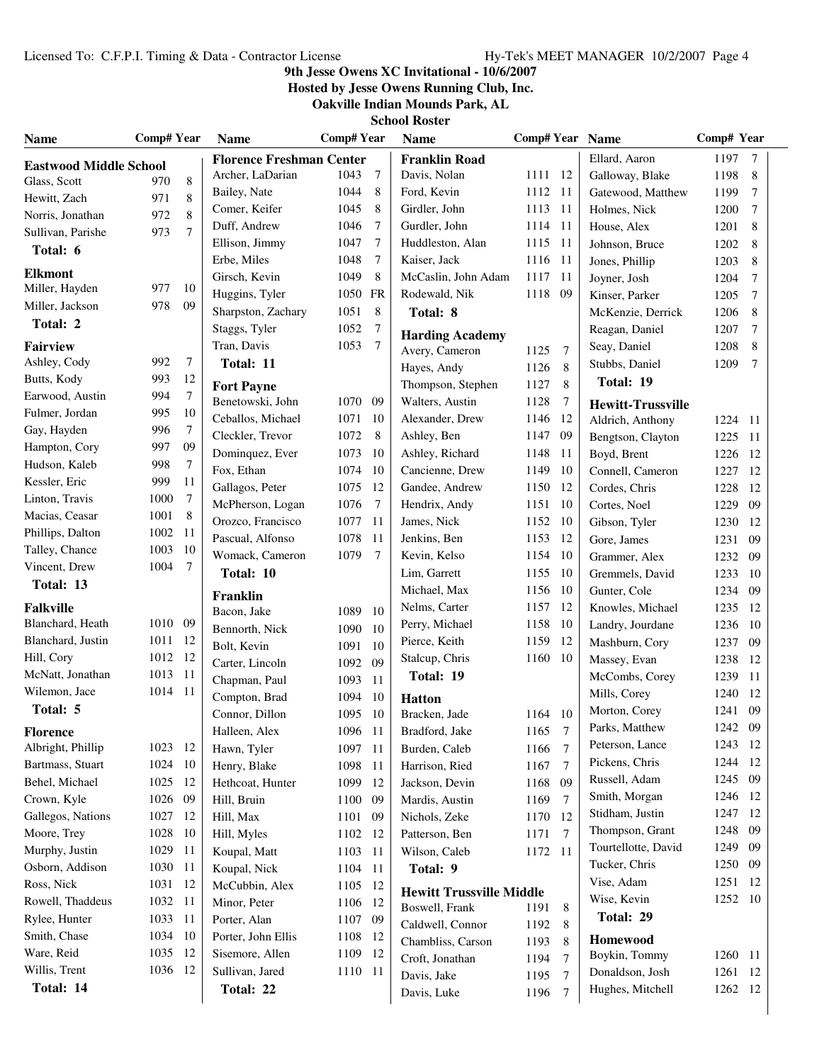### **9th Jesse Owens XC Invitational - 10/6/2007**

**Hosted by Jesse Owens Running Club, Inc.**

|  | School Koster |  |
|--|---------------|--|
|  |               |  |

| <b>Name</b>                   | <b>Comp# Year</b> |                  | <b>Name</b>                     | <b>Comp#Year</b> |                 | <b>Name</b>                     | Comp# Year Name |                |                           | Comp# Year |     |
|-------------------------------|-------------------|------------------|---------------------------------|------------------|-----------------|---------------------------------|-----------------|----------------|---------------------------|------------|-----|
| <b>Eastwood Middle School</b> |                   |                  | <b>Florence Freshman Center</b> |                  |                 | <b>Franklin Road</b>            |                 |                | Ellard, Aaron             | 1197       | 7   |
| Glass, Scott                  | 970               | 8                | Archer, LaDarian                | 1043             | $7\phantom{.0}$ | Davis, Nolan                    | 1111 12         |                | Galloway, Blake           | 1198       | 8   |
| Hewitt, Zach                  | 971               | 8                | Bailey, Nate                    | 1044             | 8               | Ford, Kevin                     | 1112            | 11             | Gatewood, Matthew         | 1199       | 7   |
| Norris, Jonathan              | 972               | 8                | Comer, Keifer                   | 1045             | 8               | Girdler, John                   | 1113            | -11            | Holmes, Nick              | 1200       | 7   |
| Sullivan, Parishe             | 973               | $\tau$           | Duff. Andrew                    | 1046             | 7               | Gurdler, John                   | 1114            | 11             | House, Alex               | 1201       | 8   |
| Total: 6                      |                   |                  | Ellison, Jimmy                  | 1047             | 7               | Huddleston, Alan                | 1115 11         |                | Johnson, Bruce            | 1202       | 8   |
|                               |                   |                  | Erbe, Miles                     | 1048             | 7               | Kaiser, Jack                    | 1116            | 11             | Jones, Phillip            | 1203       | 8   |
| <b>Elkmont</b>                |                   |                  | Girsch, Kevin                   | 1049             | 8               | McCaslin, John Adam             | 1117            | 11             | Joyner, Josh              | 1204       | 7   |
| Miller, Hayden                | 977               | 10               | Huggins, Tyler                  | 1050 FR          |                 | Rodewald, Nik                   | 1118            | 09             | Kinser, Parker            | 1205       | 7   |
| Miller, Jackson               | 978               | 09               | Sharpston, Zachary              | 1051             | 8               | Total: 8                        |                 |                | McKenzie, Derrick         | 1206       | 8   |
| Total: 2                      |                   |                  | Staggs, Tyler                   | 1052             | $\tau$          | <b>Harding Academy</b>          |                 |                | Reagan, Daniel            | 1207       | 7   |
| <b>Fairview</b>               |                   |                  | Tran, Davis                     | 1053             | $\overline{7}$  | Avery, Cameron                  | 1125            | $\overline{7}$ | Seay, Daniel              | 1208       | 8   |
| Ashley, Cody                  | 992               | $7\phantom{.0}$  | Total: 11                       |                  |                 | Hayes, Andy                     | 1126            | 8              | Stubbs, Daniel            | 1209       | 7   |
| Butts, Kody                   | 993               | 12               | <b>Fort Payne</b>               |                  |                 | Thompson, Stephen               | 1127            | 8              | Total: 19                 |            |     |
| Earwood, Austin               | 994               | $\boldsymbol{7}$ | Benetowski, John                | 1070 09          |                 | Walters, Austin                 | 1128            | 7              | <b>Hewitt-Trussville</b>  |            |     |
| Fulmer, Jordan                | 995               | 10               | Ceballos, Michael               | 1071             | - 10            | Alexander, Drew                 | 1146            | 12             | Aldrich, Anthony          | 1224 11    |     |
| Gay, Hayden                   | 996               | 7                | Cleckler, Trevor                | 1072             | 8               | Ashley, Ben                     | 1147            | 09             | Bengtson, Clayton         | 1225       | -11 |
| Hampton, Cory                 | 997               | 09               | Dominquez, Ever                 | 1073             | -10             | Ashley, Richard                 | 1148            | 11             | Boyd, Brent               | 1226       | 12  |
| Hudson, Kaleb                 | 998               | 7                | Fox, Ethan                      | 1074             | - 10            | Cancienne, Drew                 | 1149            | 10             | Connell, Cameron          | 1227       | 12  |
| Kessler, Eric                 | 999               | 11               | Gallagos, Peter                 | 1075 12          |                 | Gandee, Andrew                  | 1150            | 12             | Cordes, Chris             | 1228       | 12  |
| Linton, Travis                | 1000              | 7                | McPherson, Logan                | 1076             | 7               | Hendrix, Andy                   | 1151            | 10             | Cortes, Noel              | 1229       | 09  |
| Macias, Ceasar                | 1001              | 8                | Orozco, Francisco               | 1077             | -11             | James, Nick                     | 1152            | 10             | Gibson, Tyler             | 1230       | 12  |
| Phillips, Dalton              | 1002              | - 11             | Pascual, Alfonso                | 1078             | -11             | Jenkins, Ben                    | 1153            | 12             | Gore, James               | 1231       | 09  |
| Talley, Chance                | 1003              | -10              | Womack, Cameron                 | 1079             | $\overline{7}$  | Kevin, Kelso                    | 1154            | 10             | Grammer, Alex             | 1232       | 09  |
| Vincent, Drew                 | 1004              | 7                | Total: 10                       |                  |                 | Lim, Garrett                    | 1155            | 10             | Gremmels, David           | 1233       | 10  |
| Total: 13                     |                   |                  | Franklin                        |                  |                 | Michael, Max                    | 1156            | 10             | Gunter, Cole              | 1234       | -09 |
| <b>Falkville</b>              |                   |                  | Bacon, Jake                     | 1089             | -10             | Nelms, Carter                   | 1157            | 12             | Knowles, Michael          | 1235       | 12  |
| Blanchard, Heath              | 1010 09           |                  | Bennorth, Nick                  | 1090 10          |                 | Perry, Michael                  | 1158            | 10             | Landry, Jourdane          | 1236       | 10  |
| Blanchard, Justin             | 1011              | -12              | Bolt, Kevin                     | 1091             | -10             | Pierce, Keith                   | 1159            | 12             | Mashburn, Cory            | 1237       | 09  |
| Hill, Cory                    | 1012 12           |                  | Carter, Lincoln                 | 1092             | 09              | Stalcup, Chris                  | 1160            | 10             | Massey, Evan              | 1238       | 12  |
| McNatt, Jonathan              | 1013 11           |                  | Chapman, Paul                   | 1093             | -11             | Total: 19                       |                 |                | McCombs, Corey            | 1239       | 11  |
| Wilemon, Jace                 | 1014 11           |                  | Compton, Brad                   | 1094             | -10             |                                 |                 |                | Mills, Corey              | 1240       | 12  |
| Total: 5                      |                   |                  | Connor, Dillon                  | 1095 10          |                 | <b>Hatton</b><br>Bracken, Jade  | 1164 10         |                | Morton, Corey             | 1241       | 09  |
| Florence                      |                   |                  | Halleen, Alex                   | 1096 11          |                 | Bradford, Jake                  | 1165 7          |                | Parks, Matthew            | 1242 09    |     |
| Albright, Phillip             | 1023 12           |                  | Hawn, Tyler                     | 1097             | - 11            | Burden, Caleb                   | 1166            | $\overline{7}$ | Peterson, Lance           | 1243 12    |     |
| Bartmass, Stuart              | 1024 10           |                  | Henry, Blake                    | 1098             | -11             | Harrison, Ried                  | 1167            | $\overline{7}$ | Pickens, Chris            | 1244 12    |     |
| Behel, Michael                | 1025 12           |                  | Hethcoat, Hunter                | 1099 12          |                 | Jackson, Devin                  | 1168            | 09             | Russell, Adam             | 1245       | -09 |
| Crown, Kyle                   | 1026 09           |                  | Hill, Bruin                     | 1100 09          |                 | Mardis, Austin                  | 1169            | 7              | Smith, Morgan             | 1246       | 12  |
| Gallegos, Nations             | 1027 12           |                  | Hill, Max                       | 1101 09          |                 | Nichols, Zeke                   | 1170            | 12             | Stidham, Justin           | 1247       | 12  |
| Moore, Trey                   | 1028              | -10              | Hill, Myles                     | 1102 12          |                 | Patterson, Ben                  | 1171            | 7              | Thompson, Grant           | 1248       | 09  |
| Murphy, Justin                | 1029              | -11              | Koupal, Matt                    | 1103 11          |                 | Wilson, Caleb                   | 1172 11         |                | Tourtellotte, David       | 1249       | 09  |
| Osborn, Addison               | 1030 11           |                  | Koupal, Nick                    | 1104 11          |                 | Total: 9                        |                 |                | Tucker, Chris             | 1250       | 09  |
| Ross, Nick                    | 1031 12           |                  | McCubbin, Alex                  | 1105 12          |                 |                                 |                 |                | Vise, Adam                | 1251       | 12  |
| Rowell, Thaddeus              | 1032 11           |                  | Minor, Peter                    | 1106 12          |                 | <b>Hewitt Trussville Middle</b> |                 |                | Wise, Kevin               | 1252 10    |     |
| Rylee, Hunter                 | 1033 11           |                  | Porter, Alan                    | 1107 09          |                 | Boswell, Frank                  | 1191            | 8              | Total: 29                 |            |     |
| Smith, Chase                  | 1034 10           |                  | Porter, John Ellis              | 1108 12          |                 | Caldwell, Connor                | 1192            | 8              |                           |            |     |
| Ware, Reid                    | 1035              | - 12             | Sisemore, Allen                 | 1109 12          |                 | Chambliss, Carson               | 1193            | 8              | Homewood<br>Boykin, Tommy | 1260 11    |     |
| Willis, Trent                 | 1036 12           |                  | Sullivan, Jared                 | 1110 11          |                 | Croft, Jonathan                 | 1194            | 7              | Donaldson, Josh           | 1261       | -12 |
| Total: 14                     |                   |                  | Total: 22                       |                  |                 | Davis, Jake                     | 1195            | 7              | Hughes, Mitchell          | 1262 12    |     |
|                               |                   |                  |                                 |                  |                 | Davis, Luke                     | 1196            | 7              |                           |            |     |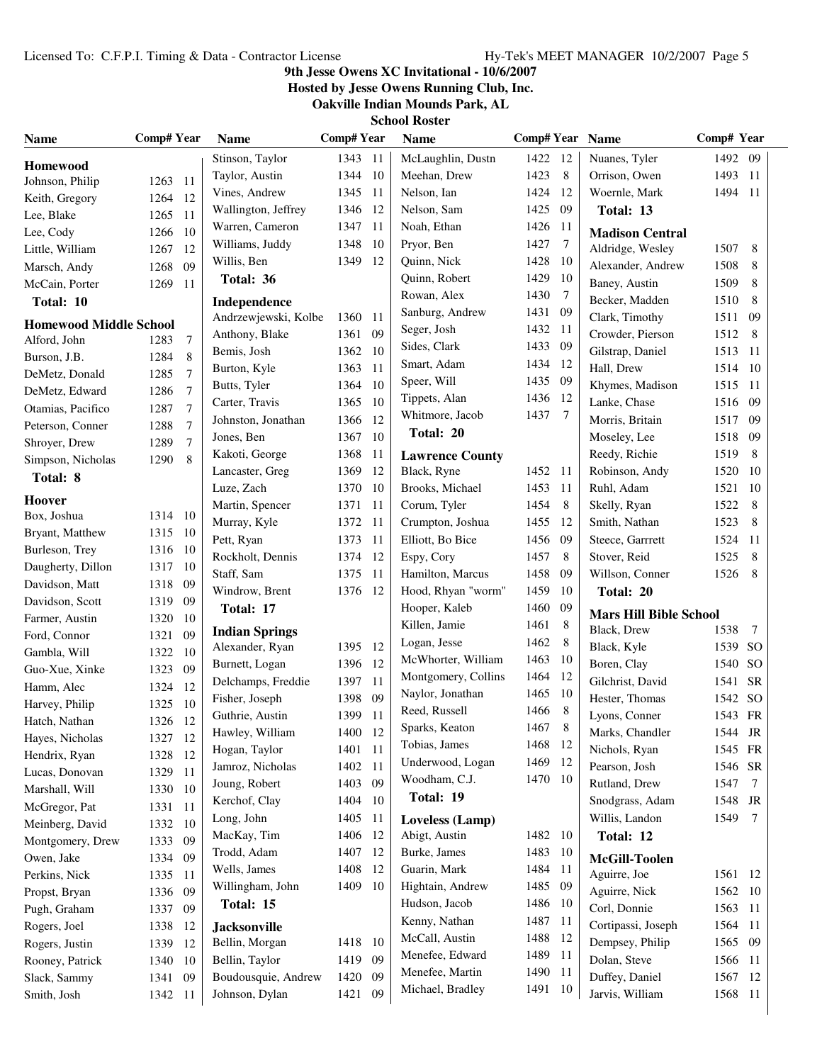### **9th Jesse Owens XC Invitational - 10/6/2007**

**Hosted by Jesse Owens Running Club, Inc.**

|  | School Koster |  |
|--|---------------|--|
|  |               |  |

| <b>Name</b>                      | <b>Comp# Year</b> |                | <b>Name</b>           | <b>Comp#Year</b> |     | <b>Name</b>            | Comp# Year Name |     |                               | Comp# Year |           |
|----------------------------------|-------------------|----------------|-----------------------|------------------|-----|------------------------|-----------------|-----|-------------------------------|------------|-----------|
| <b>Homewood</b>                  |                   |                | Stinson, Taylor       | 1343 11          |     | McLaughlin, Dustn      | 1422            | -12 | Nuanes, Tyler                 | 1492 09    |           |
| Johnson, Philip                  | 1263              | -11            | Taylor, Austin        | 1344 10          |     | Meehan, Drew           | 1423            | 8   | Orrison, Owen                 | 1493 11    |           |
| Keith, Gregory                   | 1264              | -12            | Vines, Andrew         | 1345 11          |     | Nelson, Ian            | 1424            | 12  | Woernle, Mark                 | 1494 11    |           |
| Lee, Blake                       | 1265              | -11            | Wallington, Jeffrey   | 1346 12          |     | Nelson, Sam            | 1425            | 09  | Total: 13                     |            |           |
| Lee, Cody                        | 1266              | 10             | Warren, Cameron       | 1347             | 11  | Noah, Ethan            | 1426            | 11  | <b>Madison Central</b>        |            |           |
| Little, William                  | 1267              | 12             | Williams, Juddy       | 1348             | 10  | Pryor, Ben             | 1427            | 7   | Aldridge, Wesley              | 1507       | 8         |
| Marsch, Andy                     | 1268              | 09             | Willis, Ben           | 1349             | 12  | Quinn, Nick            | 1428            | 10  | Alexander, Andrew             | 1508       | 8         |
| McCain, Porter                   | 1269              | 11             | Total: 36             |                  |     | Quinn, Robert          | 1429            | 10  | Baney, Austin                 | 1509       | 8         |
| Total: 10                        |                   |                | Independence          |                  |     | Rowan, Alex            | 1430            | 7   | Becker, Madden                | 1510       | 8         |
| <b>Homewood Middle School</b>    |                   |                | Andrzewjewski, Kolbe  | 1360 11          |     | Sanburg, Andrew        | 1431            | 09  | Clark, Timothy                | 1511       | 09        |
| Alford, John                     | 1283              | 7              | Anthony, Blake        | 1361             | 09  | Seger, Josh            | 1432            | 11  | Crowder, Pierson              | 1512       | 8         |
| Burson, J.B.                     | 1284              | 8              | Bemis, Josh           | 1362 10          |     | Sides, Clark           | 1433            | 09  | Gilstrap, Daniel              | 1513 11    |           |
| DeMetz, Donald                   | 1285              | 7              | Burton, Kyle          | 1363             | 11  | Smart, Adam            | 1434            | 12  | Hall, Drew                    | 1514       | - 10      |
| DeMetz, Edward                   | 1286              | 7              | Butts, Tyler          | 1364             | 10  | Speer, Will            | 1435            | 09  | Khymes, Madison               | 1515       | -11       |
| Otamias, Pacifico                | 1287              | $\tau$         | Carter, Travis        | 1365             | 10  | Tippets, Alan          | 1436            | 12  | Lanke, Chase                  | 1516       | 09        |
| Peterson, Conner                 | 1288              | $\overline{7}$ | Johnston, Jonathan    | 1366             | 12  | Whitmore, Jacob        | 1437            | 7   | Morris, Britain               | 1517       | 09        |
| Shroyer, Drew                    | 1289              | 7              | Jones, Ben            | 1367             | 10  | Total: 20              |                 |     | Moseley, Lee                  | 1518       | 09        |
| Simpson, Nicholas                | 1290              | 8              | Kakoti, George        | 1368             | 11  | <b>Lawrence County</b> |                 |     | Reedy, Richie                 | 1519       | 8         |
| Total: 8                         |                   |                | Lancaster, Greg       | 1369             | 12  | Black, Ryne            | 1452            | -11 | Robinson, Andy                | 1520       | 10        |
|                                  |                   |                | Luze, Zach            | 1370 10          |     | Brooks, Michael        | 1453            | 11  | Ruhl, Adam                    | 1521       | -10       |
| <b>Hoover</b>                    |                   |                | Martin, Spencer       | 1371             | 11  | Corum, Tyler           | 1454            | 8   | Skelly, Ryan                  | 1522       | 8         |
| Box, Joshua                      | 1314 10           |                | Murray, Kyle          | 1372             | 11  | Crumpton, Joshua       | 1455            | 12  | Smith, Nathan                 | 1523       | 8         |
| Bryant, Matthew                  | 1315 10           |                | Pett, Ryan            | 1373             | 11  | Elliott, Bo Bice       | 1456            | 09  | Steece, Garrrett              | 1524       | 11        |
| Burleson, Trey                   | 1316 10           |                | Rockholt, Dennis      | 1374             | 12  | Espy, Cory             | 1457            | 8   | Stover, Reid                  | 1525       | 8         |
| Daugherty, Dillon                | 1317              | -10            | Staff, Sam            | 1375             | 11  | Hamilton, Marcus       | 1458            | 09  | Willson, Conner               | 1526       | 8         |
| Davidson, Matt                   | 1318              | -09            | Windrow, Brent        | 1376 12          |     | Hood, Rhyan "worm"     | 1459            | 10  | Total: 20                     |            |           |
| Davidson, Scott                  | 1319              | 09             | Total: 17             |                  |     | Hooper, Kaleb          | 1460            | 09  | <b>Mars Hill Bible School</b> |            |           |
| Farmer, Austin                   | 1320              | 10             | <b>Indian Springs</b> |                  |     | Killen, Jamie          | 1461            | 8   | Black, Drew                   | 1538       | 7         |
| Ford, Connor                     | 1321              | 09             | Alexander, Ryan       | 1395 12          |     | Logan, Jesse           | 1462            | 8   | Black, Kyle                   | 1539 SO    |           |
| Gambla, Will                     | 1322              | 10             | Burnett, Logan        | 1396 12          |     | McWhorter, William     | 1463            | 10  | Boren, Clay                   | 1540 SO    |           |
| Guo-Xue, Xinke                   | 1323              | 09             | Delchamps, Freddie    | 1397             | -11 | Montgomery, Collins    | 1464            | 12  | Gilchrist, David              | 1541       | <b>SR</b> |
| Hamm, Alec<br>Harvey, Philip     | 1324              | 12<br>-10      | Fisher, Joseph        | 1398             | 09  | Naylor, Jonathan       | 1465            | 10  | Hester, Thomas                | 1542 SO    |           |
|                                  | 1325<br>1326      | 12             | Guthrie, Austin       | 1399 11          |     | Reed, Russell          | 1466            | 8   | Lyons, Conner                 | 1543 FR    |           |
| Hatch, Nathan<br>Hayes, Nicholas | 1327 12           |                | Hawley, William       | 1400             | 12  | Sparks, Keaton         | 1467            | 8   | Marks, Chandler               | 1544       | JR        |
| Hendrix, Ryan                    | 1328              | 12             | Hogan, Taylor         | 1401 11          |     | Tobias, James          | 1468            | -12 | Nichols, Ryan                 | 1545 FR    |           |
| Lucas, Donovan                   | 1329              | 11             | Jamroz, Nicholas      | 1402 11          |     | Underwood, Logan       | 1469            | -12 | Pearson, Josh                 | 1546 SR    |           |
| Marshall, Will                   | 1330 10           |                | Joung, Robert         | 1403             | 09  | Woodham, C.J.          | 1470 10         |     | Rutland, Drew                 | 1547       | 7         |
| McGregor, Pat                    | 1331              | - 11           | Kerchof, Clay         | 1404             | 10  | Total: 19              |                 |     | Snodgrass, Adam               | 1548       | JR        |
| Meinberg, David                  | 1332              | -10            | Long, John            | 1405 11          |     | Loveless (Lamp)        |                 |     | Willis, Landon                | 1549       | 7         |
| Montgomery, Drew                 | 1333              | 09             | MacKay, Tim           | 1406 12          |     | Abigt, Austin          | 1482            | 10  | Total: 12                     |            |           |
| Owen, Jake                       | 1334              | -09            | Trodd, Adam           | 1407 12          |     | Burke, James           | 1483            | 10  | McGill-Toolen                 |            |           |
| Perkins, Nick                    | 1335 11           |                | Wells, James          | 1408             | 12  | Guarin, Mark           | 1484            | -11 | Aguirre, Joe                  | 1561 12    |           |
| Propst, Bryan                    | 1336              | 09             | Willingham, John      | 1409 10          |     | Hightain, Andrew       | 1485            | 09  | Aguirre, Nick                 | 1562 10    |           |
| Pugh, Graham                     | 1337              | 09             | Total: 15             |                  |     | Hudson, Jacob          | 1486            | 10  | Corl, Donnie                  | 1563 11    |           |
| Rogers, Joel                     | 1338              | 12             | <b>Jacksonville</b>   |                  |     | Kenny, Nathan          | 1487            | 11  | Cortipassi, Joseph            | 1564       | -11       |
| Rogers, Justin                   | 1339              | 12             | Bellin, Morgan        | 1418 10          |     | McCall, Austin         | 1488            | 12  | Dempsey, Philip               | 1565       | 09        |
| Rooney, Patrick                  | 1340              | 10             | Bellin, Taylor        | 1419 09          |     | Menefee, Edward        | 1489            | -11 | Dolan, Steve                  | 1566 11    |           |
| Slack, Sammy                     | 1341              | 09             | Boudousquie, Andrew   | 1420             | 09  | Menefee, Martin        | 1490            | -11 | Duffey, Daniel                | 1567       | 12        |
| Smith, Josh                      | 1342 11           |                | Johnson, Dylan        | 1421             | 09  | Michael, Bradley       | 1491            | -10 | Jarvis, William               | 1568 11    |           |
|                                  |                   |                |                       |                  |     |                        |                 |     |                               |            |           |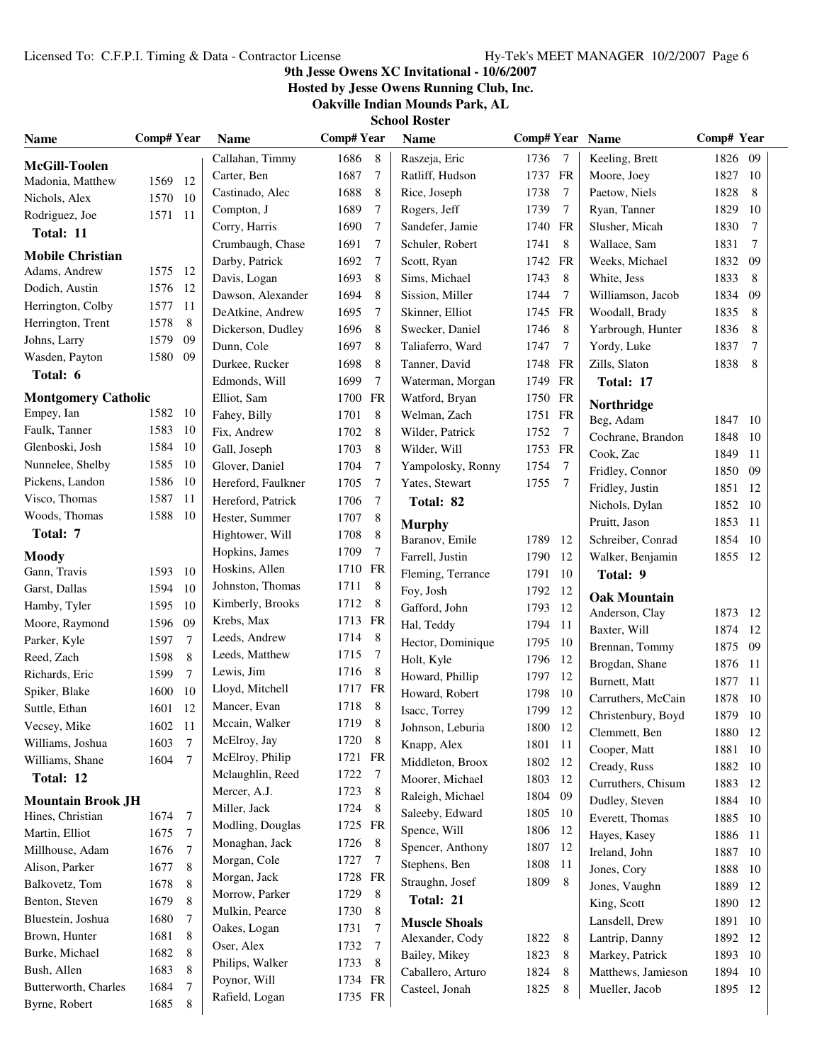### **9th Jesse Owens XC Invitational - 10/6/2007**

**Hosted by Jesse Owens Running Club, Inc.**

**Oakville Indian Mounds Park, AL**

| <b>Name</b>                | Comp# Year |                | <b>Name</b>        | <b>Comp#Year</b> |                | <b>Name</b>          | Comp# Year Name |                |                     | Comp# Year |        |
|----------------------------|------------|----------------|--------------------|------------------|----------------|----------------------|-----------------|----------------|---------------------|------------|--------|
| McGill-Toolen              |            |                | Callahan, Timmy    | 1686             | 8              | Raszeja, Eric        | 1736            | $\overline{7}$ | Keeling, Brett      | 1826 09    |        |
| Madonia, Matthew           | 1569       | 12             | Carter, Ben        | 1687             | 7              | Ratliff, Hudson      | 1737            | FR             | Moore, Joey         | 1827       | -10    |
| Nichols, Alex              | 1570       | -10            | Castinado, Alec    | 1688             | 8              | Rice, Joseph         | 1738            | 7              | Paetow, Niels       | 1828       | 8      |
| Rodriguez, Joe             | 1571 11    |                | Compton, J         | 1689             | $\tau$         | Rogers, Jeff         | 1739            | 7              | Ryan, Tanner        | 1829       | 10     |
| Total: 11                  |            |                | Corry, Harris      | 1690             | 7              | Sandefer, Jamie      | 1740            | FR             | Slusher, Micah      | 1830       | 7      |
|                            |            |                | Crumbaugh, Chase   | 1691             | 7              | Schuler, Robert      | 1741            | 8              | Wallace, Sam        | 1831       | 7      |
| <b>Mobile Christian</b>    |            |                | Darby, Patrick     | 1692             | 7              | Scott, Ryan          | 1742            | FR             | Weeks, Michael      | 1832       | 09     |
| Adams, Andrew              | 1575 12    |                | Davis, Logan       | 1693             | 8              | Sims, Michael        | 1743            | 8              | White, Jess         | 1833       | 8      |
| Dodich, Austin             | 1576       | -12            | Dawson, Alexander  | 1694             | 8              | Sission, Miller      | 1744            | 7              | Williamson, Jacob   | 1834       | 09     |
| Herrington, Colby          | 1577       | -11            | DeAtkine, Andrew   | 1695             | 7              | Skinner, Elliot      | 1745            | FR             | Woodall, Brady      | 1835       | 8      |
| Herrington, Trent          | 1578       | 8              | Dickerson, Dudley  | 1696             | 8              | Swecker, Daniel      | 1746            | 8              | Yarbrough, Hunter   | 1836       | 8      |
| Johns, Larry               | 1579       | 09             | Dunn, Cole         | 1697             | 8              | Taliaferro, Ward     | 1747            | 7              | Yordy, Luke         | 1837       | $\tau$ |
| Wasden, Payton             | 1580       | 09             | Durkee, Rucker     | 1698             | 8              | Tanner, David        | 1748            | FR             | Zills, Slaton       | 1838       | 8      |
| Total: 6                   |            |                | Edmonds, Will      | 1699             | 7              | Waterman, Morgan     | 1749            | FR             | Total: 17           |            |        |
| <b>Montgomery Catholic</b> |            |                | Elliot, Sam        | 1700 FR          |                | Watford, Bryan       | 1750            | FR             | Northridge          |            |        |
| Empey, Ian                 | 1582       | -10            | Fahey, Billy       | 1701             | 8              | Welman, Zach         | 1751 FR         |                | Beg, Adam           | 1847       | - 10   |
| Faulk, Tanner              | 1583       | -10            | Fix, Andrew        | 1702             | 8              | Wilder, Patrick      | 1752            | $\overline{7}$ | Cochrane, Brandon   | 1848       | -10    |
| Glenboski, Josh            | 1584       | 10             | Gall, Joseph       | 1703             | 8              | Wilder, Will         | 1753 FR         |                | Cook, Zac           | 1849       | -11    |
| Nunnelee, Shelby           | 1585       | -10            | Glover, Daniel     | 1704             | $\tau$         | Yampolosky, Ronny    | 1754            | 7              | Fridley, Connor     | 1850       | 09     |
| Pickens, Landon            | 1586       | -10            | Hereford, Faulkner | 1705             | $\tau$         | Yates, Stewart       | 1755            | $\overline{7}$ | Fridley, Justin     | 1851       | 12     |
| Visco, Thomas              | 1587       | -11            | Hereford, Patrick  | 1706             | 7              | Total: 82            |                 |                | Nichols, Dylan      | 1852       | - 10   |
| Woods, Thomas              | 1588       | - 10           | Hester, Summer     | 1707             | 8              | <b>Murphy</b>        |                 |                | Pruitt, Jason       | 1853       | 11     |
| Total: 7                   |            |                | Hightower, Will    | 1708             | 8              | Baranov, Emile       | 1789            | 12             | Schreiber, Conrad   | 1854       | -10    |
| <b>Moody</b>               |            |                | Hopkins, James     | 1709             | 7              | Farrell, Justin      | 1790            | 12             | Walker, Benjamin    | 1855 12    |        |
| Gann, Travis               | 1593       | -10            | Hoskins, Allen     | 1710 FR          |                | Fleming, Terrance    | 1791            | 10             | Total: 9            |            |        |
| Garst, Dallas              | 1594       | 10             | Johnston, Thomas   | 1711             | 8              | Foy, Josh            | 1792            | 12             |                     |            |        |
| Hamby, Tyler               | 1595       | 10             | Kimberly, Brooks   | 1712             | 8              | Gafford, John        | 1793            | 12             | <b>Oak Mountain</b> |            |        |
| Moore, Raymond             | 1596       | 09             | Krebs, Max         | 1713 FR          |                | Hal, Teddy           | 1794            | 11             | Anderson, Clay      | 1873       | - 12   |
| Parker, Kyle               | 1597       | $\overline{7}$ | Leeds, Andrew      | 1714             | 8              | Hector, Dominique    | 1795            | 10             | Baxter, Will        | 1874       | 12     |
| Reed, Zach                 | 1598       | 8              | Leeds, Matthew     | 1715             | 7              | Holt, Kyle           | 1796            | 12             | Brennan, Tommy      | 1875       | 09     |
| Richards, Eric             | 1599       | $\overline{7}$ | Lewis, Jim         | 1716             | 8              | Howard, Phillip      | 1797            | 12             | Brogdan, Shane      | 1876       | -11    |
| Spiker, Blake              | 1600       | 10             | Lloyd, Mitchell    | 1717 FR          |                | Howard, Robert       | 1798            | 10             | Burnett, Matt       | 1877       | 11     |
| Suttle, Ethan              | 1601       | 12             | Mancer, Evan       | 1718             | 8              | Isacc, Torrey        | 1799            | 12             | Carruthers, McCain  | 1878       | -10    |
| Vecsey, Mike               | 1602       | 11             | Mccain, Walker     | 1719             | 8              | Johnson, Leburia     | 1800            | 12             | Christenbury, Boyd  | 1879 10    |        |
| Williams, Joshua           | 1603       | $\overline{7}$ | McElroy, Jay       | 1720             | 8 <sup>8</sup> | Knapp, Alex          | 1801 11         |                | Clemmett, Ben       | 1880       | 12     |
| Williams, Shane            | 1604       | $\overline{7}$ | McElroy, Philip    | 1721 FR          |                | Middleton, Broox     | 1802 12         |                | Cooper, Matt        | 1881       | - 10   |
| Total: 12                  |            |                | Mclaughlin, Reed   | 1722 7           |                | Moorer, Michael      | 1803            | -12            | Cready, Russ        | 1882       | - 10   |
|                            |            |                | Mercer, A.J.       | 1723             | 8              | Raleigh, Michael     | 1804            | -09            | Curruthers, Chisum  | 1883       | 12     |
| <b>Mountain Brook JH</b>   |            |                | Miller, Jack       | 1724             | 8              | Saleeby, Edward      | 1805            | -10            | Dudley, Steven      | 1884       | -10    |
| Hines, Christian           | 1674       | 7              | Modling, Douglas   | 1725 FR          |                | Spence, Will         | 1806            | 12             | Everett, Thomas     | 1885       | -10    |
| Martin, Elliot             | 1675       | 7              | Monaghan, Jack     | 1726 8           |                | Spencer, Anthony     | 1807 12         |                | Hayes, Kasey        | 1886       | -11    |
| Millhouse, Adam            | 1676       | 7              | Morgan, Cole       | 1727 7           |                | Stephens, Ben        | 1808            | 11             | Ireland, John       | 1887       | -10    |
| Alison, Parker             | 1677       | 8              | Morgan, Jack       | 1728 FR          |                | Straughn, Josef      | 1809            | 8              | Jones, Cory         | 1888       | 10     |
| Balkovetz, Tom             | 1678       | 8              | Morrow, Parker     | 1729 8           |                |                      |                 |                | Jones, Vaughn       | 1889       | 12     |
| Benton, Steven             | 1679       | 8              | Mulkin, Pearce     | 1730             | 8              | Total: 21            |                 |                | King, Scott         | 1890       | 12     |
| Bluestein, Joshua          | 1680       | 7              | Oakes, Logan       | 1731             | 7              | <b>Muscle Shoals</b> |                 |                | Lansdell, Drew      | 1891       | -10    |
| Brown, Hunter              | 1681       | 8              | Oser, Alex         | 1732             | 7              | Alexander, Cody      | 1822            | 8              | Lantrip, Danny      | 1892       | -12    |
| Burke, Michael             | 1682       | 8              | Philips, Walker    | 1733             | 8              | Bailey, Mikey        | 1823            | 8              | Markey, Patrick     | 1893 10    |        |
| Bush, Allen                | 1683       | 8              | Poynor, Will       | 1734 FR          |                | Caballero, Arturo    | 1824            | 8              | Matthews, Jamieson  | 1894 10    |        |
| Butterworth, Charles       | 1684       | 7              | Rafield, Logan     | 1735 FR          |                | Casteel, Jonah       | 1825            | 8              | Mueller, Jacob      | 1895 12    |        |
| Byrne, Robert              | 1685       | 8              |                    |                  |                |                      |                 |                |                     |            |        |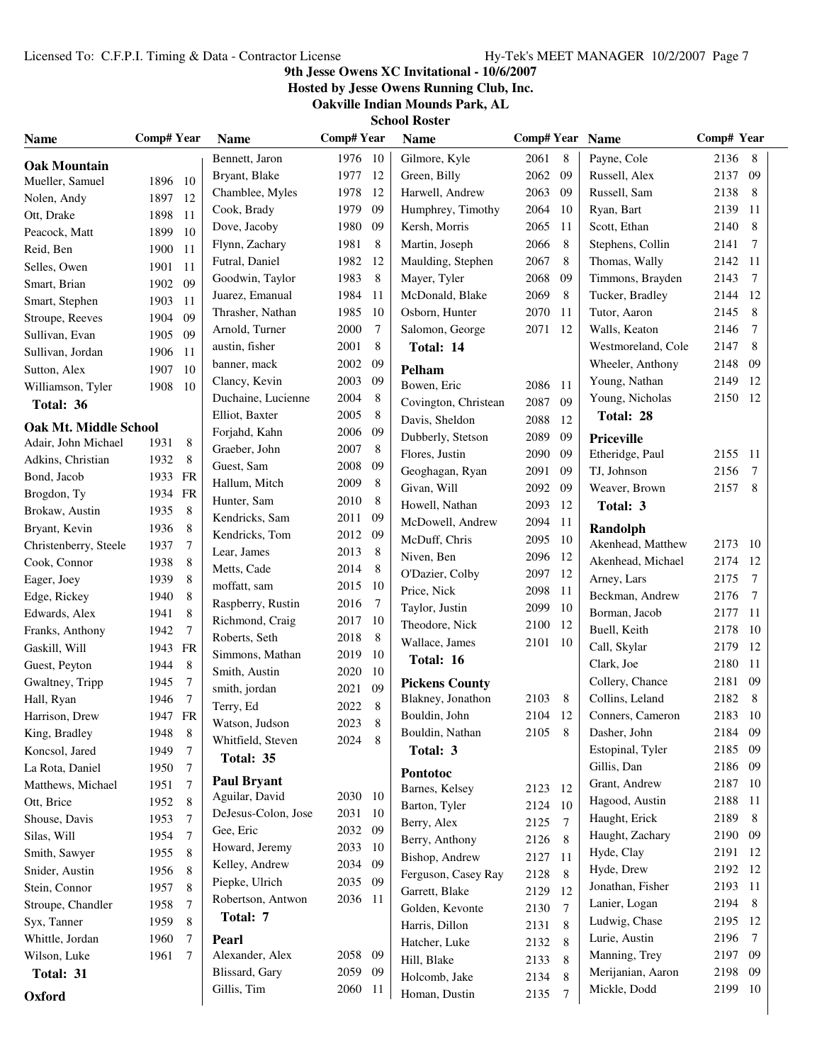### **9th Jesse Owens XC Invitational - 10/6/2007**

**Hosted by Jesse Owens Running Club, Inc.**

**Oakville Indian Mounds Park, AL**

| <b>Name</b>                                         | <b>Comp# Year</b>  |                 | <b>Name</b>         | <b>Comp#Year</b> |                 | <b>Name</b>                | Comp# Year Name |    |                               | Comp# Year |        |
|-----------------------------------------------------|--------------------|-----------------|---------------------|------------------|-----------------|----------------------------|-----------------|----|-------------------------------|------------|--------|
| <b>Oak Mountain</b>                                 |                    |                 | Bennett, Jaron      | 1976 10          |                 | Gilmore, Kyle              | 2061            | 8  | Payne, Cole                   | 2136       | 8      |
| Mueller, Samuel                                     | 1896 10            |                 | Bryant, Blake       | 1977             | -12             | Green, Billy               | 2062            | 09 | Russell, Alex                 | 2137       | 09     |
| Nolen, Andy                                         | 1897               | -12             | Chamblee, Myles     | 1978             | 12              | Harwell, Andrew            | 2063            | 09 | Russell, Sam                  | 2138       | 8      |
| Ott, Drake                                          | 1898               | -11             | Cook, Brady         | 1979             | -09             | Humphrey, Timothy          | 2064            | 10 | Ryan, Bart                    | 2139       | 11     |
| Peacock, Matt                                       | 1899               | 10              | Dove, Jacoby        | 1980             | -09             | Kersh, Morris              | 2065            | 11 | Scott, Ethan                  | 2140       | 8      |
| Reid, Ben                                           | 1900               | 11              | Flynn, Zachary      | 1981             | 8               | Martin, Joseph             | 2066            | 8  | Stephens, Collin              | 2141       | 7      |
| Selles, Owen                                        | 1901               | 11              | Futral, Daniel      | 1982             | -12             | Maulding, Stephen          | 2067            | 8  | Thomas, Wally                 | 2142       | 11     |
| Smart, Brian                                        | 1902               | 09              | Goodwin, Taylor     | 1983             | 8               | Mayer, Tyler               | 2068            | 09 | Timmons, Brayden              | 2143       | $\tau$ |
| Smart, Stephen                                      | 1903               | 11              | Juarez, Emanual     | 1984             | -11             | McDonald, Blake            | 2069            | 8  | Tucker, Bradley               | 2144       | 12     |
| Stroupe, Reeves                                     | 1904               | 09              | Thrasher, Nathan    | 1985             | -10             | Osborn, Hunter             | 2070            | 11 | Tutor, Aaron                  | 2145       | 8      |
| Sullivan, Evan                                      | 1905               | 09              | Arnold, Turner      | 2000             | 7               | Salomon, George            | 2071            | 12 | Walls, Keaton                 | 2146       | 7      |
| Sullivan, Jordan                                    | 1906               | -11             | austin, fisher      | 2001             | $\,8\,$         | Total: 14                  |                 |    | Westmoreland, Cole            | 2147       | 8      |
| Sutton, Alex                                        | 1907               | - 10            | banner, mack        | 2002             | 09              | Pelham                     |                 |    | Wheeler, Anthony              | 2148       | 09     |
| Williamson, Tyler                                   | 1908               | -10             | Clancy, Kevin       | 2003             | 09              | Bowen, Eric                | 2086            | 11 | Young, Nathan                 | 2149       | 12     |
| Total: 36                                           |                    |                 | Duchaine, Lucienne  | 2004             | 8               | Covington, Christean       | 2087            | 09 | Young, Nicholas               | 2150       | 12     |
|                                                     |                    |                 | Elliot, Baxter      | 2005             | 8               | Davis, Sheldon             | 2088            | 12 | Total: 28                     |            |        |
| <b>Oak Mt. Middle School</b><br>Adair, John Michael | 1931               | 8               | Forjahd, Kahn       | 2006 09          |                 | Dubberly, Stetson          | 2089            | 09 | <b>Priceville</b>             |            |        |
|                                                     |                    |                 | Graeber, John       | 2007             | 8               | Flores, Justin             | 2090            | 09 | Etheridge, Paul               | 2155       | -11    |
| Adkins, Christian                                   | 1932               | 8               | Guest, Sam          | 2008             | 09              | Geoghagan, Ryan            | 2091            | 09 | TJ, Johnson                   | 2156       | 7      |
| Bond, Jacob<br>Brogdon, Ty                          | 1933 FR<br>1934 FR |                 | Hallum, Mitch       | 2009             | 8               | Givan, Will                | 2092            | 09 | Weaver, Brown                 | 2157       | 8      |
| Brokaw, Austin                                      | 1935               | 8               | Hunter, Sam         | 2010             | 8               | Howell, Nathan             | 2093            | 12 | Total: 3                      |            |        |
| Bryant, Kevin                                       | 1936               | 8               | Kendricks, Sam      | 2011             | -09             | McDowell, Andrew           | 2094            | 11 |                               |            |        |
| Christenberry, Steele                               | 1937               | $\overline{7}$  | Kendricks, Tom      | 2012 09          |                 | McDuff, Chris              | 2095            | 10 | Randolph<br>Akenhead, Matthew | 2173       | - 10   |
| Cook, Connor                                        | 1938               | $\,$ 8 $\,$     | Lear, James         | 2013             | 8               | Niven, Ben                 | 2096            | 12 | Akenhead, Michael             | 2174       | -12    |
| Eager, Joey                                         | 1939               | 8               | Metts, Cade         | 2014             | 8               | O'Dazier, Colby            | 2097            | 12 | Arney, Lars                   | 2175       | $\tau$ |
| Edge, Rickey                                        | 1940               | 8               | moffatt, sam        | 2015             | - 10            | Price, Nick                | 2098            | 11 | Beckman, Andrew               | 2176       | 7      |
| Edwards, Alex                                       | 1941               | 8               | Raspberry, Rustin   | 2016             | $7\phantom{.0}$ | Taylor, Justin             | 2099            | 10 | Borman, Jacob                 | 2177       | 11     |
| Franks, Anthony                                     | 1942               | 7               | Richmond, Craig     | 2017 10          |                 | Theodore, Nick             | 2100            | 12 | Buell, Keith                  | 2178       | 10     |
| Gaskill, Will                                       | 1943 FR            |                 | Roberts, Seth       | 2018             | 8               | Wallace, James             | 2101            | 10 | Call, Skylar                  | 2179       | 12     |
| Guest, Peyton                                       | 1944               | 8               | Simmons, Mathan     | 2019 10          |                 | Total: 16                  |                 |    | Clark, Joe                    | 2180       | 11     |
| Gwaltney, Tripp                                     | 1945               | $\overline{7}$  | Smith, Austin       | 2020             | -10             | <b>Pickens County</b>      |                 |    | Collery, Chance               | 2181       | -09    |
| Hall, Ryan                                          | 1946               | $\tau$          | smith, jordan       | 2021 09          |                 | Blakney, Jonathon          | 2103            | 8  | Collins, Leland               | 2182       | 8      |
| Harrison, Drew                                      | 1947 FR            |                 | Terry, Ed           | 2022             | 8               | Bouldin, John              | 2104            | 12 | Conners, Cameron              | 2183 10    |        |
| King, Bradley                                       | 1948               | 8               | Watson, Judson      | 2023             | 8               | Bouldin, Nathan            | 2105            | 8  | Dasher, John                  | 2184       | 09     |
| Koncsol, Jared                                      | 1949               | $\tau$          | Whitfield, Steven   | 2024 8           |                 | Total: 3                   |                 |    | Estopinal, Tyler              | 2185       | - 09   |
| La Rota, Daniel                                     | 1950               | $\tau$          | Total: 35           |                  |                 |                            |                 |    | Gillis, Dan                   | 2186       | -09    |
| Matthews, Michael                                   | 1951               | 7               | <b>Paul Bryant</b>  |                  |                 | Pontotoc<br>Barnes, Kelsey | 2123            | 12 | Grant, Andrew                 | 2187       | 10     |
| Ott, Brice                                          | 1952               | 8               | Aguilar, David      | 2030 10          |                 | Barton, Tyler              | 2124            | 10 | Hagood, Austin                | 2188       | 11     |
| Shouse, Davis                                       | 1953               | $7\phantom{.0}$ | DeJesus-Colon, Jose | 2031 10          |                 | Berry, Alex                | 2125            | 7  | Haught, Erick                 | 2189       | 8      |
| Silas, Will                                         | 1954               | $\tau$          | Gee, Eric           | 2032 09          |                 | Berry, Anthony             | 2126            | 8  | Haught, Zachary               | 2190       | - 09   |
| Smith, Sawyer                                       | 1955               | 8               | Howard, Jeremy      | 2033 10          |                 | Bishop, Andrew             | 2127            | 11 | Hyde, Clay                    | 2191       | -12    |
| Snider, Austin                                      | 1956               | 8               | Kelley, Andrew      | 2034 09          |                 | Ferguson, Casey Ray        | 2128            | 8  | Hyde, Drew                    | 2192       | 12     |
| Stein, Connor                                       | 1957               | 8               | Piepke, Ulrich      | 2035 09          |                 | Garrett, Blake             | 2129            | 12 | Jonathan, Fisher              | 2193       | -11    |
| Stroupe, Chandler                                   | 1958               | 7               | Robertson, Antwon   | 2036 11          |                 | Golden, Kevonte            | 2130            | 7  | Lanier, Logan                 | 2194       | 8      |
| Syx, Tanner                                         | 1959               | 8               | Total: 7            |                  |                 | Harris, Dillon             | 2131            | 8  | Ludwig, Chase                 | 2195       | 12     |
| Whittle, Jordan                                     | 1960               | 7               | Pearl               |                  |                 | Hatcher, Luke              | 2132            | 8  | Lurie, Austin                 | 2196       | 7      |
| Wilson, Luke                                        | 1961               | 7               | Alexander, Alex     | 2058 09          |                 | Hill, Blake                | 2133            | 8  | Manning, Trey                 | 2197       | - 09   |
| Total: 31                                           |                    |                 | Blissard, Gary      | 2059 09          |                 | Holcomb, Jake              | 2134            | 8  | Merijanian, Aaron             | 2198       | -09    |
| Oxford                                              |                    |                 | Gillis, Tim         | 2060 11          |                 | Homan, Dustin              | 2135            | 7  | Mickle, Dodd                  | 2199 10    |        |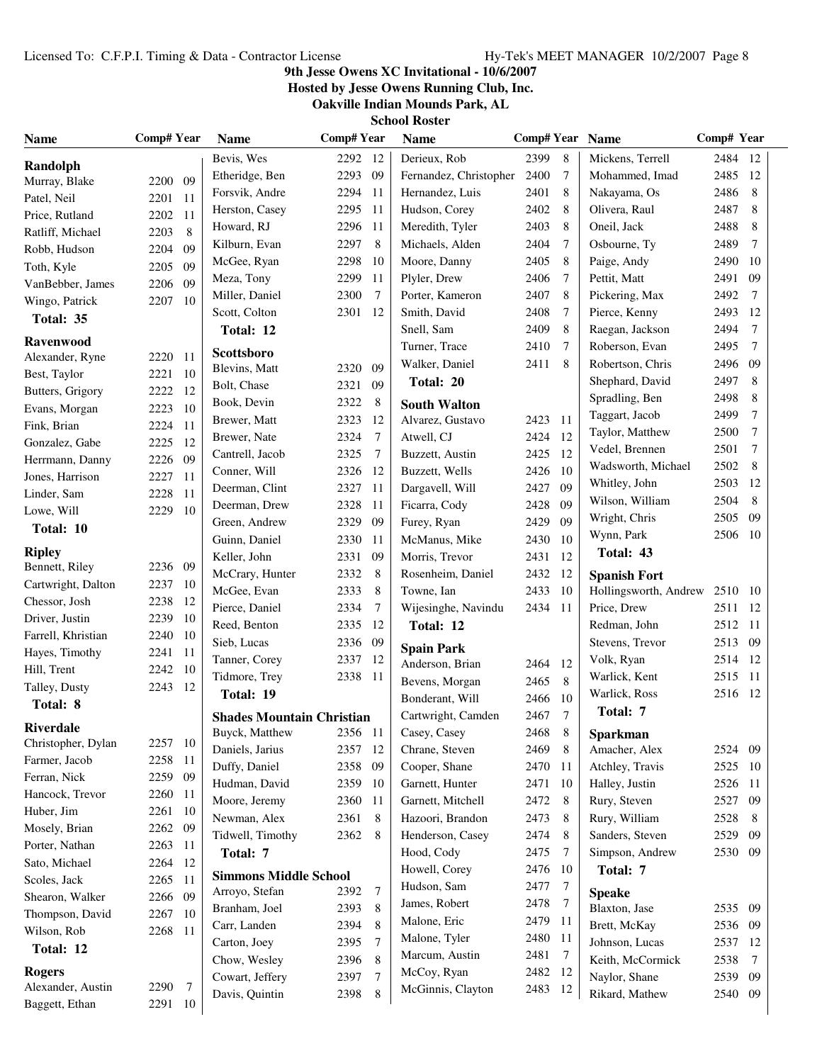### **9th Jesse Owens XC Invitational - 10/6/2007**

**Hosted by Jesse Owens Running Club, Inc.**

**Oakville Indian Mounds Park, AL**

| <b>Name</b>        | <b>Comp# Year</b> |                | <b>Name</b>                      | <b>Comp#Year</b> |                | <b>Name</b>                 | Comp# Year Name |                  |                       | Comp# Year |                |
|--------------------|-------------------|----------------|----------------------------------|------------------|----------------|-----------------------------|-----------------|------------------|-----------------------|------------|----------------|
| Randolph           |                   |                | Bevis, Wes                       | 2292 12          |                | Derieux, Rob                | 2399<br>8       |                  | Mickens, Terrell      | 2484 12    |                |
| Murray, Blake      | 2200 09           |                | Etheridge, Ben                   | 2293             | 09             | Fernandez, Christopher      | 2400            | 7                | Mohammed, Imad        | 2485       | 12             |
| Patel, Neil        | 2201 11           |                | Forsvik, Andre                   | 2294             | -11            | Hernandez, Luis             | 2401            | 8                | Nakayama, Os          | 2486<br>8  |                |
| Price, Rutland     | 2202              | -11            | Herston, Casey                   | 2295             | -11            | Hudson, Corey               | 2402            | 8                | Olivera, Raul         | 2487       | 8              |
| Ratliff, Michael   | 2203              | 8              | Howard, RJ                       | 2296             | -11            | Meredith, Tyler             | 2403            | 8                | Oneil, Jack           | 2488       | 8              |
| Robb, Hudson       | 2204              | 09             | Kilburn, Evan                    | 2297             | 8              | Michaels, Alden             | 2404            | 7                | Osbourne, Ty          | 2489       | 7              |
| Toth, Kyle         | 2205              | 09             | McGee, Ryan                      | 2298             | 10             | Moore, Danny                | 2405            | 8                | Paige, Andy           | 2490       | 10             |
| VanBebber, James   | 2206              | 09             | Meza, Tony                       | 2299             | -11            | Plyler, Drew                | 2406            | 7                | Pettit, Matt          | 2491       | 09             |
| Wingo, Patrick     | 2207              | -10            | Miller, Daniel                   | 2300             | 7              | Porter, Kameron             | 2407            | 8                | Pickering, Max        | 2492       | $\overline{7}$ |
| Total: 35          |                   |                | Scott, Colton                    | 2301 12          |                | Smith, David                | 2408            | 7                | Pierce, Kenny         | 2493       | 12             |
| Ravenwood          |                   |                | Total: 12                        |                  |                | Snell, Sam                  | 2409            | 8                | Raegan, Jackson       | 2494       | $\tau$         |
| Alexander, Ryne    | 2220              | <sup>11</sup>  | Scottsboro                       |                  |                | Turner, Trace               | 2410            | 7                | Roberson, Evan        | 2495       | $\tau$         |
| Best, Taylor       | 2221              | 10             | Blevins, Matt                    | 2320             | 09             | 2411<br>8<br>Walker, Daniel |                 | Robertson, Chris | 2496                  | 09         |                |
| Butters, Grigory   | 2222              | -12            | Bolt, Chase                      | 2321             | 09             | Total: 20                   |                 | Shephard, David  | 2497                  | 8          |                |
| Evans, Morgan      | 2223              | 10             | Book, Devin                      | 2322             | 8              | <b>South Walton</b>         |                 |                  | Spradling, Ben        | 2498       | 8              |
| Fink, Brian        | 2224              | <sup>11</sup>  | Brewer, Matt                     | 2323 12          |                | Alvarez, Gustavo            | 2423<br>-11     |                  | Taggart, Jacob        | 2499       | $\overline{7}$ |
| Gonzalez, Gabe     | 2225              | 12             | Brewer, Nate                     | 2324             | 7              | Atwell, CJ                  | 2424            | 12               | Taylor, Matthew       | 2500       | $\overline{7}$ |
| Herrmann, Danny    | 2226              | 09             | Cantrell, Jacob                  | 2325             | 7              | Buzzett, Austin             | 2425            | 12               | Vedel, Brennen        | 2501       | $\overline{7}$ |
| Jones, Harrison    | 2227              | <sup>11</sup>  | Conner, Will                     | 2326 12          |                | Buzzett, Wells              | 10<br>2426      |                  | Wadsworth, Michael    | 2502       | 8              |
| Linder, Sam        | 2228              | 11             | Deerman, Clint                   | 2327             | - 11           | Dargavell, Will             | 2427            | 09               | Whitley, John         | 2503       | 12             |
| Lowe, Will         | 2229              | 10             | Deerman, Drew                    | 2328             | -11            | Ficarra, Cody               | 2428            | 09               | Wilson, William       | 2504       | 8              |
| Total: 10          |                   |                | Green, Andrew                    | 2329             | 09             | Furey, Ryan                 | 2429            | 09               | Wright, Chris         | 2505       | 09             |
|                    |                   |                | Guinn, Daniel                    | 2330             | -11            | McManus, Mike               | 2430            | 10               | Wynn, Park            | 2506       | - 10           |
| <b>Ripley</b>      |                   |                | Keller, John                     | 2331             | 09             | Morris, Trevor              | 2431            | 12               | Total: 43             |            |                |
| Bennett, Riley     | 2236 09           |                | McCrary, Hunter                  | 2332             | 8              | Rosenheim, Daniel           | 2432            | 12               | <b>Spanish Fort</b>   |            |                |
| Cartwright, Dalton | 2237 10           |                | McGee, Evan                      | 2333             | 8              | Towne, Ian                  | 2433            | 10               | Hollingsworth, Andrew | 2510 10    |                |
| Chessor, Josh      | 2238              | -12            | Pierce, Daniel                   | 2334             | 7              | Wijesinghe, Navindu         | 2434            | 11               | Price, Drew           | 2511 12    |                |
| Driver, Justin     | 2239              | -10            | Reed, Benton                     | 2335             | - 12           | Total: 12                   |                 |                  | Redman, John          | 2512 11    |                |
| Farrell, Khristian | 2240              | -10            | Sieb, Lucas                      | 2336 09          |                | <b>Spain Park</b>           |                 |                  | Stevens, Trevor       | 2513       | -09            |
| Hayes, Timothy     | 2241              | -11            | Tanner, Corey                    | 2337 12          |                | Anderson, Brian             | 2464            | 12               | Volk, Ryan            | 2514       | -12            |
| Hill, Trent        | 2242              | - 10           | Tidmore, Trey                    | 2338 11          |                | Bevens, Morgan              | 2465            | 8                | Warlick, Kent         | 2515       | -11            |
| Talley, Dusty      | 2243              | 12             | Total: 19                        |                  |                | Bonderant, Will<br>2466     |                 | 10               | Warlick, Ross         | 2516 12    |                |
| Total: 8           |                   |                | <b>Shades Mountain Christian</b> |                  |                | Cartwright, Camden          | 2467            | $\tau$           | Total: 7              |            |                |
| <b>Riverdale</b>   |                   |                | Buyck, Matthew                   | 2356             | -11            | Casey, Casey                | 2468            | $\,8\,$          | Sparkman              |            |                |
| Christopher, Dylan | 2257 10           |                | Daniels, Jarius                  | 2357 12          |                | Chrane, Steven              | 2469            | 8                | Amacher, Alex         | 2524 09    |                |
| Farmer, Jacob      | 2258 11           |                | Duffy, Daniel                    | 2358 09          |                | Cooper, Shane               | 2470            | 11               | Atchley, Travis       | 2525 10    |                |
| Ferran, Nick       | 2259 09           |                | Hudman, David                    | 2359 10          |                | Garnett, Hunter             | 2471            | 10               | Halley, Justin        | 2526       | -11            |
| Hancock, Trevor    | 2260 11           |                | Moore, Jeremy                    | 2360 11          |                | Garnett, Mitchell           | 2472            | 8                | Rury, Steven          | 2527       | - 09           |
| Huber, Jim         | 2261 10           |                | Newman, Alex                     | 2361             | 8              | Hazoori, Brandon            | 2473            | 8                | Rury, William         | 2528       | 8              |
| Mosely, Brian      | 2262 09           |                | Tidwell, Timothy                 | 2362             | 8              | Henderson, Casey            | 2474            | 8                | Sanders, Steven       | 2529       | 09             |
| Porter, Nathan     | 2263 11           |                | Total: 7                         |                  |                | Hood, Cody                  | 2475            | 7                | Simpson, Andrew       | 2530 09    |                |
| Sato, Michael      | 2264 12           |                |                                  |                  |                | Howell, Corey               | 2476<br>10      |                  | Total: 7              |            |                |
| Scoles, Jack       | 2265              | -11            | <b>Simmons Middle School</b>     |                  |                | Hudson, Sam                 | 2477            | 7                |                       |            |                |
| Shearon, Walker    | 2266              | 09             | Arroyo, Stefan                   | 2392             | $\overline{7}$ | James, Robert               | 2478            | 7                | <b>Speake</b>         |            |                |
| Thompson, David    | 2267              | -10            | Branham, Joel                    | 2393             | 8              | Malone, Eric                | 2479            | 11               | Blaxton, Jase         | 2535 09    |                |
| Wilson, Rob        | 2268 11           |                | Carr, Landen                     | 2394             | 8              | Malone, Tyler               | 2480            | 11               | Brett, McKay          | 2536 09    |                |
| Total: 12          |                   |                | Carton, Joey                     | 2395             | 7              | Marcum, Austin              | 2481            | 7                | Johnson, Lucas        | 2537 12    |                |
| <b>Rogers</b>      |                   |                | Chow, Wesley                     | 2396             | 8              | McCoy, Ryan                 | 2482            | 12               | Keith, McCormick      | 2538       | $\tau$         |
| Alexander, Austin  | 2290              | $\overline{7}$ | Cowart, Jeffery                  | 2397             | 7              | McGinnis, Clayton           | 2483            | 12               | Naylor, Shane         | 2539 09    |                |
| Baggett, Ethan     | 2291 10           |                | Davis, Quintin                   | 2398             | 8              |                             |                 |                  | Rikard, Mathew        | 2540 09    |                |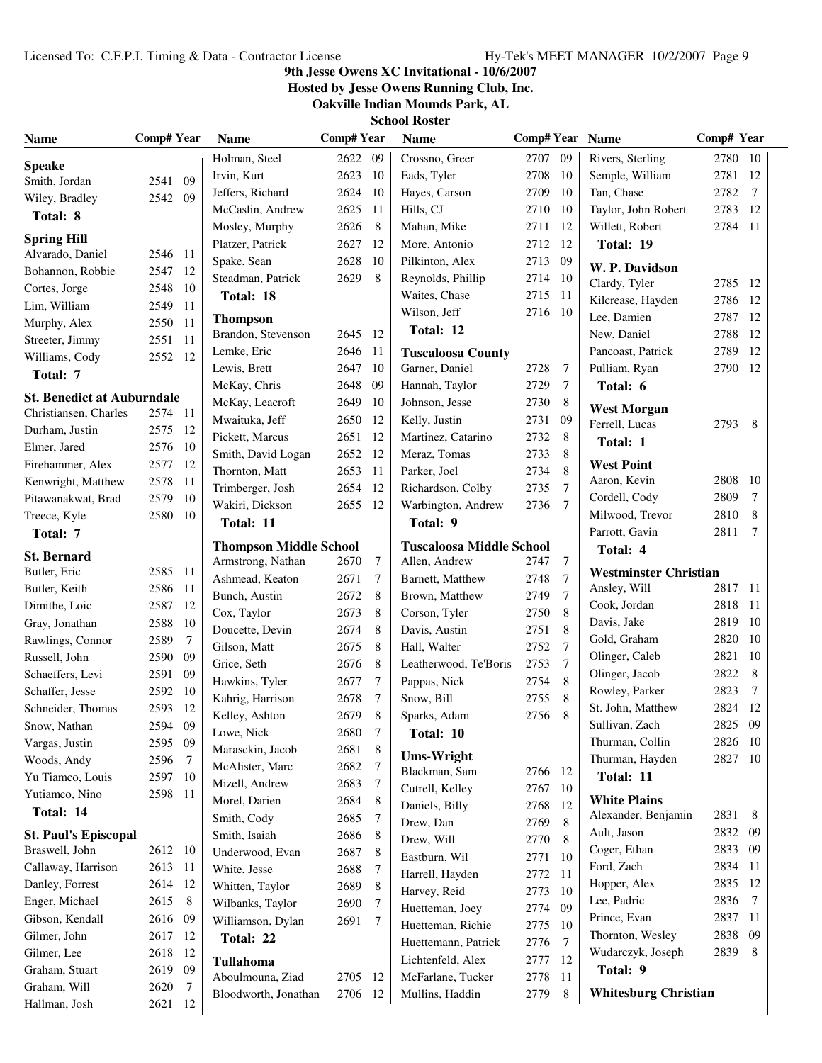### **9th Jesse Owens XC Invitational - 10/6/2007**

**Hosted by Jesse Owens Running Club, Inc.**

**Oakville Indian Mounds Park, AL**

| <b>School Roster</b> |  |
|----------------------|--|
|                      |  |

| <b>Name</b>                                   | <b>Comp# Year</b> |      | <b>Name</b>                   | <b>Comp#Year</b><br><b>Name</b> |                |                                 | Comp# Year Name |                 | Comp# Year                                 |         |                |
|-----------------------------------------------|-------------------|------|-------------------------------|---------------------------------|----------------|---------------------------------|-----------------|-----------------|--------------------------------------------|---------|----------------|
| <b>Speake</b>                                 |                   |      | Holman, Steel                 | 2622 09                         |                | Crossno, Greer                  | 2707 09         |                 | Rivers, Sterling                           | 2780 10 |                |
| Smith, Jordan                                 | 2541              | 09   | Irvin, Kurt                   | 2623                            | -10            | Eads, Tyler                     | 2708            | 10              | Semple, William                            | 2781    | -12            |
| Wiley, Bradley                                | 2542 09           |      | Jeffers, Richard              | 2624                            | 10             | Hayes, Carson                   | 2709            | 10              | Tan, Chase                                 | 2782    | $\tau$         |
| Total: 8                                      |                   |      | McCaslin, Andrew              | 2625                            | -11            | Hills, CJ                       | 2710            | 10              | Taylor, John Robert                        | 2783 12 |                |
|                                               |                   |      | Mosley, Murphy                | 2626                            | 8              | Mahan, Mike                     | 2711            | 12              | Willett, Robert                            | 2784 11 |                |
| <b>Spring Hill</b>                            |                   |      | Platzer, Patrick              | 2627                            | 12             | More, Antonio                   | 2712            | 12              | Total: 19                                  |         |                |
| Alvarado, Daniel                              | 2546 11           |      | Spake, Sean                   | 2628                            | 10             | Pilkinton, Alex                 | 2713            | 09              | W. P. Davidson                             |         |                |
| Bohannon, Robbie                              | 2547 12           |      | Steadman, Patrick             | 2629                            | 8              | Reynolds, Phillip               | 2714            | -10             | Clardy, Tyler                              | 2785 12 |                |
| Cortes, Jorge                                 | 2548              | 10   | Total: 18                     |                                 |                | Waites, Chase                   | 2715            | -11             | Kilcrease, Hayden                          | 2786    | -12            |
| Lim, William                                  | 2549              | -11  | <b>Thompson</b>               |                                 |                | Wilson, Jeff                    | 2716            | - 10            | Lee, Damien                                | 2787    | -12            |
| Murphy, Alex                                  | 2550              | -11  | Brandon, Stevenson            | 2645 12                         |                | Total: 12                       |                 |                 | New, Daniel                                | 2788    | -12            |
| Streeter, Jimmy                               | 2551              | -11  | Lemke, Eric                   | 2646                            | -11            | <b>Tuscaloosa County</b>        |                 |                 | Pancoast, Patrick                          | 2789    | 12             |
| Williams, Cody                                | 2552              | 12   | Lewis, Brett                  | 2647                            | 10             | Garner, Daniel                  | 2728            | 7               | Pulliam, Ryan                              | 2790    | -12            |
| Total: 7                                      |                   |      | McKay, Chris                  | 2648                            | 09             | Hannah, Taylor                  | 2729            | 7               | Total: 6                                   |         |                |
| <b>St. Benedict at Auburndale</b>             |                   |      | McKay, Leacroft               | 2649                            | 10             | Johnson, Jesse                  | 2730            | 8               |                                            |         |                |
| Christiansen, Charles                         | 2574 11           |      | Mwaituka, Jeff                | 2650                            | 12             | Kelly, Justin                   | 2731            | 09              | <b>West Morgan</b>                         |         |                |
| Durham, Justin                                | 2575 12           |      | Pickett, Marcus               | 2651                            | 12             | Martinez, Catarino              | 2732            | 8               | Ferrell, Lucas                             | 2793    | - 8            |
| Elmer, Jared                                  | 2576 10           |      | Smith, David Logan            | 2652                            | 12             | Meraz. Tomas                    | 2733            | 8               | Total: 1                                   |         |                |
| Firehammer, Alex                              | 2577              | -12  | Thornton, Matt                | 2653                            | -11            | Parker, Joel                    | 2734            | 8               | <b>West Point</b>                          |         |                |
| Kenwright, Matthew                            | 2578              | - 11 | Trimberger, Josh              | 2654                            | -12            | Richardson, Colby               | 2735            | $7\phantom{.0}$ | Aaron, Kevin                               | 2808    | - 10           |
| Pitawanakwat, Brad                            | 2579              | - 10 | Wakiri, Dickson               | 2655 12                         |                | Warbington, Andrew              | 2736            | $7\phantom{.0}$ | Cordell, Cody                              | 2809    | $\overline{7}$ |
| Treece, Kyle                                  | 2580              | - 10 | Total: 11                     |                                 |                | Total: 9                        |                 |                 | Milwood, Trevor                            | 2810    | 8              |
| Total: 7                                      |                   |      |                               |                                 |                |                                 |                 |                 | Parrott, Gavin                             | 2811    | 7              |
| <b>St. Bernard</b>                            |                   |      | <b>Thompson Middle School</b> |                                 |                | <b>Tuscaloosa Middle School</b> |                 |                 | Total: 4                                   |         |                |
| Butler, Eric                                  | 2585 11           |      | Armstrong, Nathan             | 2670                            | $\overline{7}$ | Allen, Andrew                   | 2747            | 7               | <b>Westminster Christian</b>               |         |                |
| Butler, Keith                                 | 2586              | -11  | Ashmead, Keaton               | 2671                            | 7              | Barnett, Matthew                | 2748            | $\overline{7}$  | Ansley, Will                               | 2817 11 |                |
| Dimithe, Loic                                 | 2587              | 12   | Bunch, Austin                 | 2672                            | 8              | Brown, Matthew                  | 2749            | 7               | Cook, Jordan                               | 2818 11 |                |
| Gray, Jonathan                                | 2588              | 10   | Cox, Taylor                   | 2673                            | 8              | Corson, Tyler                   | 2750            | 8               | Davis, Jake                                | 2819    | - 10           |
| Rawlings, Connor                              | 2589              | 7    | Doucette, Devin               | 2674                            | 8              | Davis, Austin                   | 2751            | 8               | Gold, Graham                               | 2820    | 10             |
| Russell, John                                 | 2590              | 09   | Gilson, Matt                  | 2675                            | 8              | Hall, Walter                    | 2752            | 7               | Olinger, Caleb                             | 2821    | 10             |
| Schaeffers, Levi                              | 2591              | 09   | Grice, Seth                   | 2676                            | 8              | Leatherwood, Te'Boris           | 2753            | $\overline{7}$  | Olinger, Jacob                             | 2822    | 8              |
| Schaffer, Jesse                               | 2592              | - 10 | Hawkins, Tyler                | 2677                            | 7              | Pappas, Nick                    | 2754            | 8               | Rowley, Parker                             | 2823    | $\tau$         |
| Schneider, Thomas                             | 2593              | 12   | Kahrig, Harrison              | 2678                            | 7              | Snow, Bill                      | 2755            | 8               | St. John, Matthew                          | 2824    | 12             |
| Snow, Nathan                                  | 2594              | 09   | Kelley, Ashton                | 2679                            | 8              | Sparks, Adam                    | 2756            | 8               | Sullivan, Zach                             | 2825 09 |                |
| Vargas, Justin                                | 2595 09           |      | Lowe, Nick                    | 2680                            | 7              | Total: 10                       |                 |                 | Thurman, Collin                            | 2826 10 |                |
| Woods, Andy                                   | 2596              | -7   | Marasckin, Jacob              | 2681                            | 8              | <b>Ums-Wright</b>               |                 |                 | Thurman, Hayden                            | 2827 10 |                |
| Yu Tiamco, Louis                              | 2597 10           |      | McAlister, Marc               | 2682                            | 7              | Blackman, Sam                   | 2766 12         |                 | Total: 11                                  |         |                |
| Yutiamco, Nino                                | 2598 11           |      | Mizell, Andrew                | 2683                            | 7              | Cutrell, Kelley                 | 2767            | - 10            |                                            |         |                |
| Total: 14                                     |                   |      | Morel, Darien                 | 2684                            | 8              | Daniels, Billy                  | 2768            | 12              | <b>White Plains</b><br>Alexander, Benjamin | 2831    | 8              |
|                                               |                   |      | Smith, Cody                   | 2685                            | $\tau$         | Drew, Dan                       | 2769            | 8               | Ault, Jason                                | 2832 09 |                |
| <b>St. Paul's Episcopal</b><br>Braswell, John | 2612 10           |      | Smith, Isaiah                 | 2686                            | 8              | Drew, Will                      | 2770            | 8               | Coger, Ethan                               | 2833 09 |                |
| Callaway, Harrison                            | 2613 11           |      | Underwood, Evan               | 2687                            | 8              | Eastburn, Wil                   | 2771            | 10              | Ford, Zach                                 | 2834 11 |                |
| Danley, Forrest                               | 2614 12           |      | White, Jesse                  | 2688                            | 7              | Harrell, Hayden                 | 2772 11         |                 | Hopper, Alex                               | 2835    | -12            |
| Enger, Michael                                | 2615 8            |      | Whitten, Taylor               | 2689                            | 8              | Harvey, Reid                    | 2773 10         |                 | Lee, Padric                                | 2836    | 7              |
|                                               |                   |      | Wilbanks, Taylor              | 2690                            | 7              | Huetteman, Joey                 | 2774 09         |                 | Prince, Evan                               | 2837    | - 11           |
| Gibson, Kendall                               | 2616 09           |      | Williamson, Dylan             | 2691                            | $\overline{7}$ | Huetteman, Richie               | 2775            | - 10            |                                            | 2838 09 |                |
| Gilmer, John                                  | 2617              | -12  | Total: 22                     |                                 |                | Huettemann, Patrick             | 2776            | 7               | Thornton, Wesley<br>Wudarczyk, Joseph      | 2839    | 8              |
| Gilmer, Lee                                   | 2618              | -12  | Tullahoma                     |                                 |                | Lichtenfeld, Alex               | 2777            | 12              |                                            |         |                |
| Graham, Stuart                                | 2619 09           |      | Aboulmouna, Ziad              | 2705 12                         |                | McFarlane, Tucker               | 2778            | 11              | Total: 9                                   |         |                |
| Graham, Will                                  | 2620              | -7   | Bloodworth, Jonathan          | 2706 12                         |                | Mullins, Haddin                 | 2779            | 8               | <b>Whitesburg Christian</b>                |         |                |
| Hallman, Josh                                 | 2621 12           |      |                               |                                 |                |                                 |                 |                 |                                            |         |                |